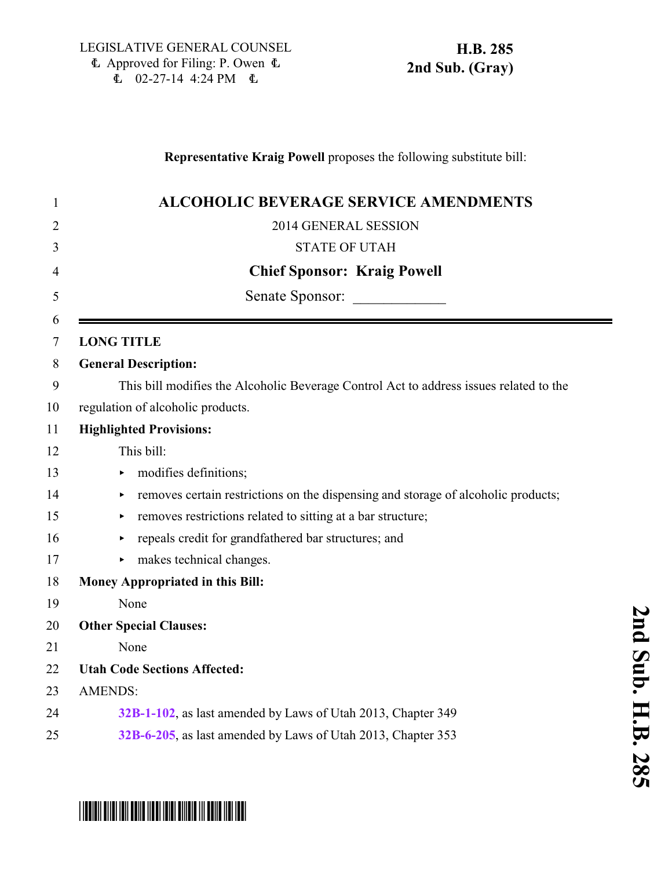### **Representative Kraig Powell** proposes the following substitute bill:

| $\mathbf{1}$ | <b>ALCOHOLIC BEVERAGE SERVICE AMENDMENTS</b>                                           |
|--------------|----------------------------------------------------------------------------------------|
| 2            | 2014 GENERAL SESSION                                                                   |
| 3            | <b>STATE OF UTAH</b>                                                                   |
| 4            | <b>Chief Sponsor: Kraig Powell</b>                                                     |
| 5            | Senate Sponsor:                                                                        |
| 6<br>$\tau$  | <b>LONG TITLE</b>                                                                      |
| 8            | <b>General Description:</b>                                                            |
| 9            | This bill modifies the Alcoholic Beverage Control Act to address issues related to the |
| 10           | regulation of alcoholic products.                                                      |
| 11           | <b>Highlighted Provisions:</b>                                                         |
| 12           | This bill:                                                                             |
| 13           | modifies definitions;                                                                  |
| 14           | removes certain restrictions on the dispensing and storage of alcoholic products;<br>► |
| 15           | removes restrictions related to sitting at a bar structure;<br>▶                       |
| 16           | repeals credit for grandfathered bar structures; and                                   |
| 17           | makes technical changes.                                                               |
| 18           | Money Appropriated in this Bill:                                                       |
| 19           | None                                                                                   |
| 20           | <b>Other Special Clauses:</b>                                                          |
| 21           | None                                                                                   |
| 22           | <b>Utah Code Sections Affected:</b>                                                    |
| 23           | <b>AMENDS:</b>                                                                         |
| 24           | 32B-1-102, as last amended by Laws of Utah 2013, Chapter 349                           |
| 25           | 32B-6-205, as last amended by Laws of Utah 2013, Chapter 353                           |

# \*HB0285S02\*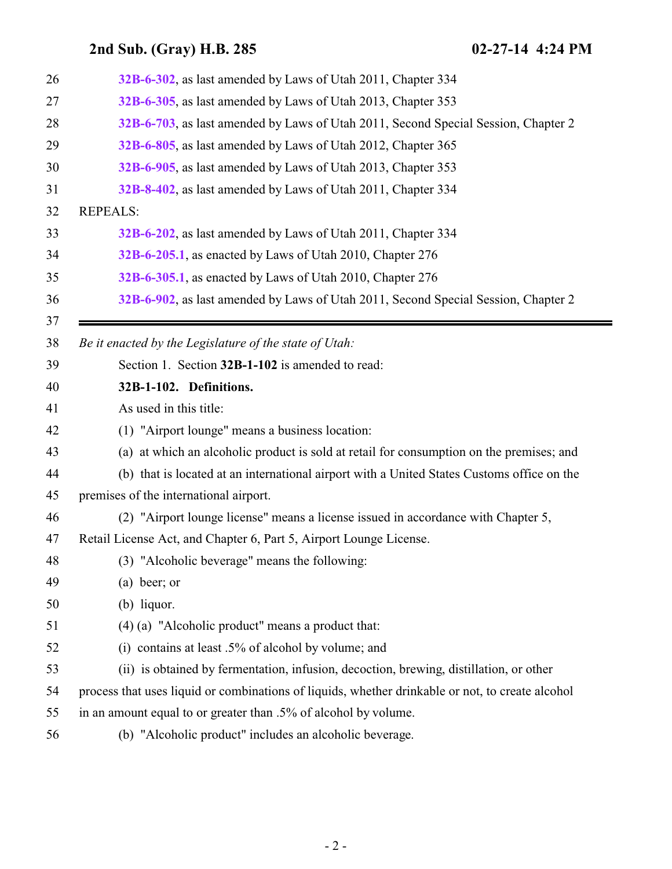<span id="page-1-0"></span>

| 26 | 32B-6-302, as last amended by Laws of Utah 2011, Chapter 334                                     |
|----|--------------------------------------------------------------------------------------------------|
| 27 | 32B-6-305, as last amended by Laws of Utah 2013, Chapter 353                                     |
| 28 | 32B-6-703, as last amended by Laws of Utah 2011, Second Special Session, Chapter 2               |
| 29 | 32B-6-805, as last amended by Laws of Utah 2012, Chapter 365                                     |
| 30 | 32B-6-905, as last amended by Laws of Utah 2013, Chapter 353                                     |
| 31 | 32B-8-402, as last amended by Laws of Utah 2011, Chapter 334                                     |
| 32 | <b>REPEALS:</b>                                                                                  |
| 33 | 32B-6-202, as last amended by Laws of Utah 2011, Chapter 334                                     |
| 34 | 32B-6-205.1, as enacted by Laws of Utah 2010, Chapter 276                                        |
| 35 | 32B-6-305.1, as enacted by Laws of Utah 2010, Chapter 276                                        |
| 36 | 32B-6-902, as last amended by Laws of Utah 2011, Second Special Session, Chapter 2               |
| 37 |                                                                                                  |
| 38 | Be it enacted by the Legislature of the state of Utah:                                           |
| 39 | Section 1. Section 32B-1-102 is amended to read:                                                 |
| 40 | 32B-1-102. Definitions.                                                                          |
| 41 | As used in this title:                                                                           |
| 42 | (1) "Airport lounge" means a business location:                                                  |
| 43 | (a) at which an alcoholic product is sold at retail for consumption on the premises; and         |
| 44 | (b) that is located at an international airport with a United States Customs office on the       |
| 45 | premises of the international airport.                                                           |
| 46 | (2) "Airport lounge license" means a license issued in accordance with Chapter 5,                |
| 47 | Retail License Act, and Chapter 6, Part 5, Airport Lounge License.                               |
| 48 | (3) "Alcoholic beverage" means the following:                                                    |
| 49 | $(a)$ beer; or                                                                                   |
| 50 | $(b)$ liquor.                                                                                    |
| 51 | $(4)$ (a) "Alcoholic product" means a product that:                                              |
| 52 | contains at least .5% of alcohol by volume; and<br>(i)                                           |
| 53 | (ii) is obtained by fermentation, infusion, decoction, brewing, distillation, or other           |
| 54 | process that uses liquid or combinations of liquids, whether drinkable or not, to create alcohol |
| 55 | in an amount equal to or greater than .5% of alcohol by volume.                                  |
| 56 | (b) "Alcoholic product" includes an alcoholic beverage.                                          |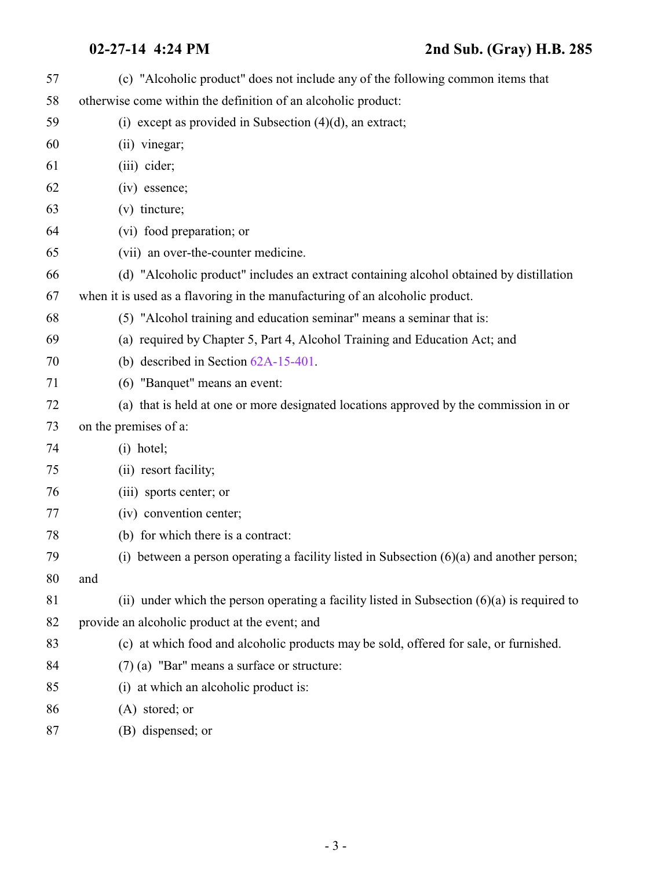| 57 | (c) "Alcoholic product" does not include any of the following common items that               |
|----|-----------------------------------------------------------------------------------------------|
| 58 | otherwise come within the definition of an alcoholic product:                                 |
| 59 | (i) except as provided in Subsection $(4)(d)$ , an extract;                                   |
| 60 | (ii) vinegar;                                                                                 |
| 61 | (iii) cider;                                                                                  |
| 62 | (iv) essence;                                                                                 |
| 63 | (v) tincture;                                                                                 |
| 64 | (vi) food preparation; or                                                                     |
| 65 | (vii) an over-the-counter medicine.                                                           |
| 66 | (d) "Alcoholic product" includes an extract containing alcohol obtained by distillation       |
| 67 | when it is used as a flavoring in the manufacturing of an alcoholic product.                  |
| 68 | (5) "Alcohol training and education seminar" means a seminar that is:                         |
| 69 | (a) required by Chapter 5, Part 4, Alcohol Training and Education Act; and                    |
| 70 | (b) described in Section $62A-15-401$ .                                                       |
| 71 | (6) "Banquet" means an event:                                                                 |
| 72 | (a) that is held at one or more designated locations approved by the commission in or         |
| 73 | on the premises of a:                                                                         |
| 74 | $(i)$ hotel;                                                                                  |
| 75 | (ii) resort facility;                                                                         |
| 76 | (iii) sports center; or                                                                       |
| 77 | (iv) convention center;                                                                       |
| 78 | (b) for which there is a contract:                                                            |
| 79 | (i) between a person operating a facility listed in Subsection $(6)(a)$ and another person;   |
| 80 | and                                                                                           |
| 81 | (ii) under which the person operating a facility listed in Subsection $(6)(a)$ is required to |
| 82 | provide an alcoholic product at the event; and                                                |
| 83 | (c) at which food and alcoholic products may be sold, offered for sale, or furnished.         |
| 84 | $(7)$ (a) "Bar" means a surface or structure:                                                 |
| 85 | (i) at which an alcoholic product is:                                                         |
| 86 | $(A)$ stored; or                                                                              |
| 87 | (B) dispensed; or                                                                             |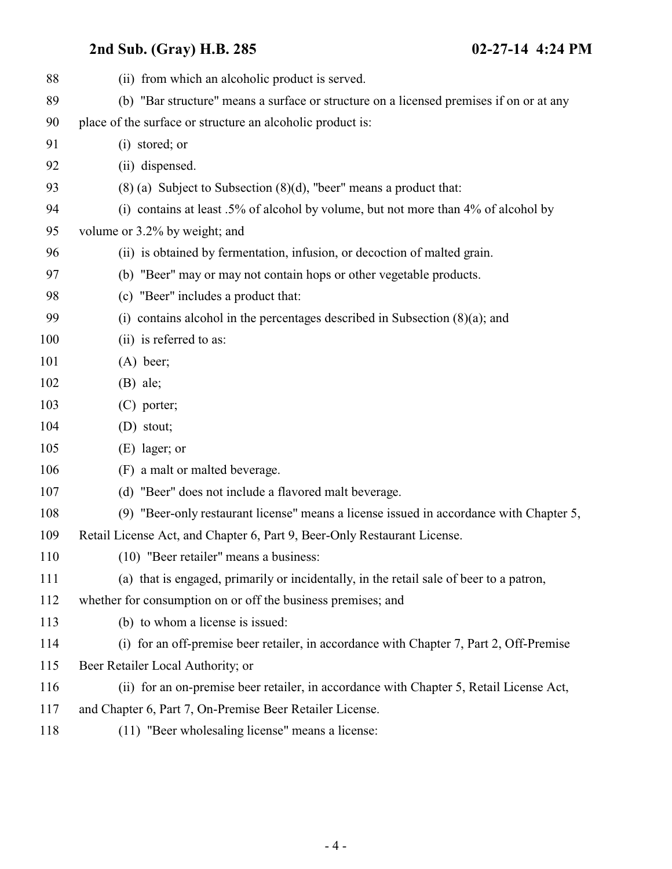# **2nd Sub. (Gray) H.B. 285**

| $02 - 27 - 14$ 4:24 PM |  |  |
|------------------------|--|--|
|------------------------|--|--|

| 88  | (ii) from which an alcoholic product is served.                                         |
|-----|-----------------------------------------------------------------------------------------|
| 89  | (b) "Bar structure" means a surface or structure on a licensed premises if on or at any |
| 90  | place of the surface or structure an alcoholic product is:                              |
| 91  | (i) stored; or                                                                          |
| 92  | (ii) dispensed.                                                                         |
| 93  | $(8)$ (a) Subject to Subsection $(8)(d)$ , "beer" means a product that:                 |
| 94  | (i) contains at least .5% of alcohol by volume, but not more than 4% of alcohol by      |
| 95  | volume or 3.2% by weight; and                                                           |
| 96  | (ii) is obtained by fermentation, infusion, or decoction of malted grain.               |
| 97  | (b) "Beer" may or may not contain hops or other vegetable products.                     |
| 98  | (c) "Beer" includes a product that:                                                     |
| 99  | (i) contains alcohol in the percentages described in Subsection $(8)(a)$ ; and          |
| 100 | (ii) is referred to as:                                                                 |
| 101 | $(A)$ beer;                                                                             |
| 102 | $(B)$ ale;                                                                              |
| 103 | $(C)$ porter;                                                                           |
| 104 | (D) stout;                                                                              |
| 105 | $(E)$ lager; or                                                                         |
| 106 | (F) a malt or malted beverage.                                                          |
| 107 | (d) "Beer" does not include a flavored malt beverage.                                   |
| 108 | (9) "Beer-only restaurant license" means a license issued in accordance with Chapter 5, |
| 109 | Retail License Act, and Chapter 6, Part 9, Beer-Only Restaurant License.                |
| 110 | (10) "Beer retailer" means a business:                                                  |
| 111 | (a) that is engaged, primarily or incidentally, in the retail sale of beer to a patron, |
| 112 | whether for consumption on or off the business premises; and                            |
| 113 | (b) to whom a license is issued:                                                        |
| 114 | (i) for an off-premise beer retailer, in accordance with Chapter 7, Part 2, Off-Premise |
| 115 | Beer Retailer Local Authority; or                                                       |
| 116 | (ii) for an on-premise beer retailer, in accordance with Chapter 5, Retail License Act, |
| 117 | and Chapter 6, Part 7, On-Premise Beer Retailer License.                                |
| 118 | (11) "Beer wholesaling license" means a license:                                        |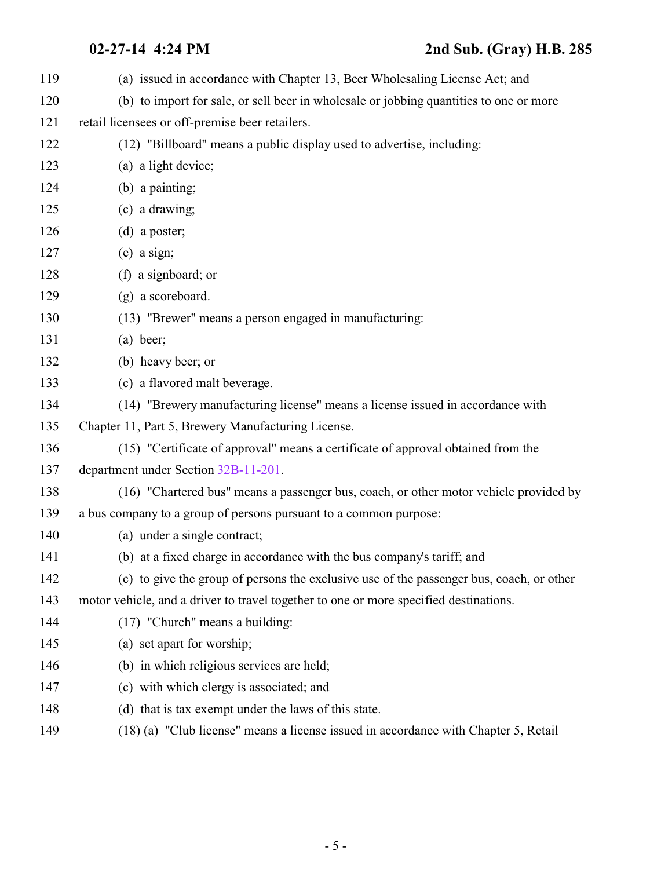(a) issued in accordance with Chapter 13, Beer Wholesaling License Act; and (b) to import for sale, or sell beer in wholesale or jobbing quantities to one or more retail licensees or off-premise beer retailers. (12) "Billboard" means a public display used to advertise, including: (a) a light device; (b) a painting; (c) a drawing; (d) a poster; (e) a sign; (f) a signboard; or (g) a scoreboard. (13) "Brewer" means a person engaged in manufacturing: (a) beer; (b) heavy beer; or (c) a flavored malt beverage. (14) "Brewery manufacturing license" means a license issued in accordance with Chapter 11, Part 5, Brewery Manufacturing License. (15) "Certificate of approval" means a certificate of approval obtained from the department under Section [32B-11-201](http://le.utah.gov/UtahCode/SectionLookup.jsp?section=32b-11-201&session=2014GS). (16) "Chartered bus" means a passenger bus, coach, or other motor vehicle provided by a bus company to a group of persons pursuant to a common purpose: (a) under a single contract; (b) at a fixed charge in accordance with the bus company's tariff; and (c) to give the group of persons the exclusive use of the passenger bus, coach, or other motor vehicle, and a driver to travel together to one or more specified destinations. (17) "Church" means a building: (a) set apart for worship; (b) in which religious services are held; (c) with which clergy is associated; and (d) that is tax exempt under the laws of this state. (18) (a) "Club license" means a license issued in accordance with Chapter 5, Retail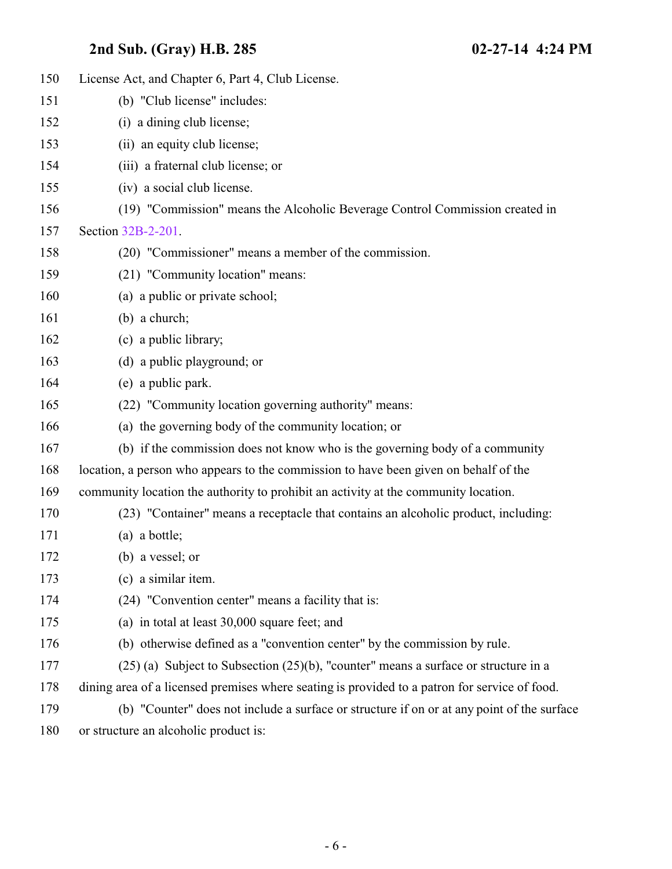| 150 | License Act, and Chapter 6, Part 4, Club License.                                             |
|-----|-----------------------------------------------------------------------------------------------|
| 151 | (b) "Club license" includes:                                                                  |
| 152 | (i) a dining club license;                                                                    |
| 153 | (ii) an equity club license;                                                                  |
| 154 | (iii) a fraternal club license; or                                                            |
| 155 | (iv) a social club license.                                                                   |
| 156 | (19) "Commission" means the Alcoholic Beverage Control Commission created in                  |
| 157 | Section 32B-2-201.                                                                            |
| 158 | (20) "Commissioner" means a member of the commission.                                         |
| 159 | (21) "Community location" means:                                                              |
| 160 | (a) a public or private school;                                                               |
| 161 | $(b)$ a church;                                                                               |
| 162 | (c) a public library;                                                                         |
| 163 | (d) a public playground; or                                                                   |
| 164 | (e) a public park.                                                                            |
| 165 | (22) "Community location governing authority" means:                                          |
| 166 | (a) the governing body of the community location; or                                          |
| 167 | (b) if the commission does not know who is the governing body of a community                  |
| 168 | location, a person who appears to the commission to have been given on behalf of the          |
| 169 | community location the authority to prohibit an activity at the community location.           |
| 170 | (23) "Container" means a receptacle that contains an alcoholic product, including:            |
| 171 | (a) a bottle;                                                                                 |
| 172 | (b) a vessel; or                                                                              |
| 173 | (c) a similar item.                                                                           |
| 174 | (24) "Convention center" means a facility that is:                                            |
| 175 | (a) in total at least 30,000 square feet; and                                                 |
| 176 | (b) otherwise defined as a "convention center" by the commission by rule.                     |
| 177 | $(25)$ (a) Subject to Subsection $(25)(b)$ , "counter" means a surface or structure in a      |
| 178 | dining area of a licensed premises where seating is provided to a patron for service of food. |
| 179 | (b) "Counter" does not include a surface or structure if on or at any point of the surface    |
| 180 | or structure an alcoholic product is:                                                         |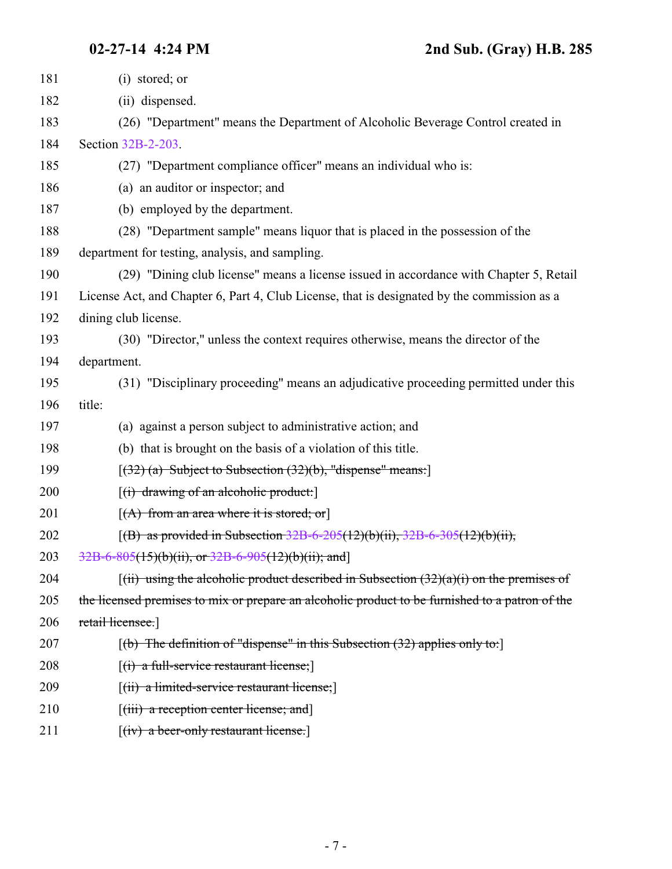| 181 | (i) stored; or                                                                                                                              |
|-----|---------------------------------------------------------------------------------------------------------------------------------------------|
| 182 | (ii) dispensed.                                                                                                                             |
| 183 | (26) "Department" means the Department of Alcoholic Beverage Control created in                                                             |
| 184 | Section 32B-2-203.                                                                                                                          |
| 185 | (27) "Department compliance officer" means an individual who is:                                                                            |
| 186 | (a) an auditor or inspector; and                                                                                                            |
| 187 | (b) employed by the department.                                                                                                             |
| 188 | (28) "Department sample" means liquor that is placed in the possession of the                                                               |
| 189 | department for testing, analysis, and sampling.                                                                                             |
| 190 | (29) "Dining club license" means a license issued in accordance with Chapter 5, Retail                                                      |
| 191 | License Act, and Chapter 6, Part 4, Club License, that is designated by the commission as a                                                 |
| 192 | dining club license.                                                                                                                        |
| 193 | (30) "Director," unless the context requires otherwise, means the director of the                                                           |
| 194 | department.                                                                                                                                 |
| 195 | (31) "Disciplinary proceeding" means an adjudicative proceeding permitted under this                                                        |
| 196 | title:                                                                                                                                      |
| 197 | (a) against a person subject to administrative action; and                                                                                  |
| 198 | (b) that is brought on the basis of a violation of this title.                                                                              |
| 199 | $[(32)$ (a) Subject to Subsection $(32)(b)$ , "dispense" means:                                                                             |
| 200 | $[(i)$ drawing of an alcoholic product:                                                                                                     |
| 201 | $[(A)$ from an area where it is stored; or                                                                                                  |
| 202 | [(B) as provided in Subsection $32B-6-205(12)(b)(ii)$ , $32B-6-305(12)(b)(ii)$ ,                                                            |
| 203 | 32B-6-805(15)(b)(ii), or 32B-6-905(12)(b)(ii); and]                                                                                         |
| 204 | $\left[\right(\text{iii})$ using the alcoholic product described in Subsection $\left(32\right)\left(\frac{a}{b}\right)$ on the premises of |
| 205 | the licensed premises to mix or prepare an alcoholic product to be furnished to a patron of the                                             |
| 206 | retail licensee.                                                                                                                            |
| 207 | $[(b)$ The definition of "dispense" in this Subsection (32) applies only to:                                                                |
| 208 | $[(i)$ a full-service restaurant license;                                                                                                   |
| 209 | $[(ii)$ a limited-service restaurant license;                                                                                               |
| 210 | [(iii) a reception center license; and]                                                                                                     |
| 211 | $[(iv)$ a beer-only restaurant license.                                                                                                     |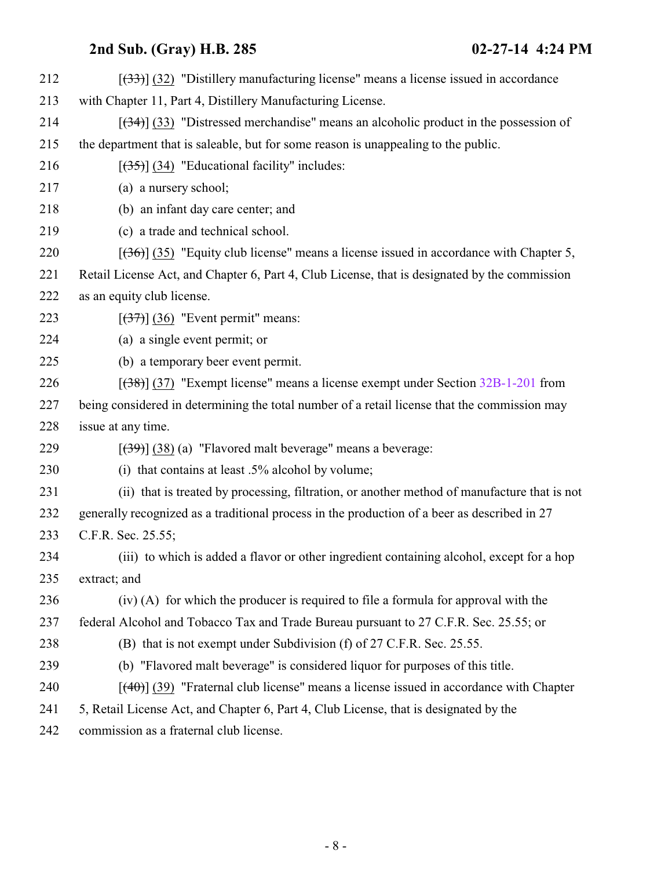| 212 | $[333]$ (32) "Distillery manufacturing license" means a license issued in accordance          |
|-----|-----------------------------------------------------------------------------------------------|
| 213 | with Chapter 11, Part 4, Distillery Manufacturing License.                                    |
| 214 | $[34]$ (33) "Distressed merchandise" means an alcoholic product in the possession of          |
| 215 | the department that is saleable, but for some reason is unappealing to the public.            |
| 216 | $[ (33) ]$ (34) "Educational facility" includes:                                              |
| 217 | (a) a nursery school;                                                                         |
| 218 | (b) an infant day care center; and                                                            |
| 219 | (c) a trade and technical school.                                                             |
| 220 | $[36]$ (35) "Equity club license" means a license issued in accordance with Chapter 5,        |
| 221 | Retail License Act, and Chapter 6, Part 4, Club License, that is designated by the commission |
| 222 | as an equity club license.                                                                    |
| 223 | $[37]$ (36) "Event permit" means:                                                             |
| 224 | (a) a single event permit; or                                                                 |
| 225 | (b) a temporary beer event permit.                                                            |
| 226 | $[38]$ (37) "Exempt license" means a license exempt under Section 32B-1-201 from              |
| 227 | being considered in determining the total number of a retail license that the commission may  |
| 228 | issue at any time.                                                                            |
| 229 | $[39]$ (38) (a) "Flavored malt beverage" means a beverage:                                    |
| 230 | (i) that contains at least $.5\%$ alcohol by volume;                                          |
| 231 | (ii) that is treated by processing, filtration, or another method of manufacture that is not  |
| 232 | generally recognized as a traditional process in the production of a beer as described in 27  |
| 233 | C.F.R. Sec. 25.55;                                                                            |
| 234 | (iii) to which is added a flavor or other ingredient containing alcohol, except for a hop     |
| 235 | extract; and                                                                                  |
| 236 | (iv) (A) for which the producer is required to file a formula for approval with the           |
| 237 | federal Alcohol and Tobacco Tax and Trade Bureau pursuant to 27 C.F.R. Sec. 25.55; or         |
| 238 | (B) that is not exempt under Subdivision (f) of 27 C.F.R. Sec. 25.55.                         |
| 239 | (b) "Flavored malt beverage" is considered liquor for purposes of this title.                 |
| 240 | $[$ (40)] (39) "Fraternal club license" means a license issued in accordance with Chapter     |
| 241 | 5, Retail License Act, and Chapter 6, Part 4, Club License, that is designated by the         |
| 242 | iasian as a Customerl abile Basnas                                                            |

commission as a fraternal club license.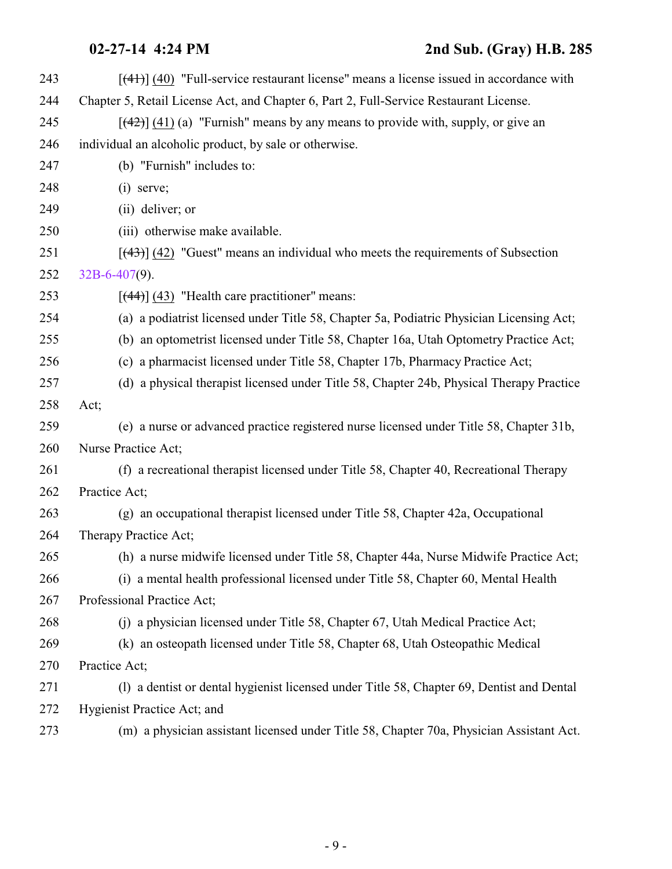| 243 | $[$ (41)] (40) "Full-service restaurant license" means a license issued in accordance with |
|-----|--------------------------------------------------------------------------------------------|
| 244 | Chapter 5, Retail License Act, and Chapter 6, Part 2, Full-Service Restaurant License.     |
| 245 | $[$ (42)] (41) (a) "Furnish" means by any means to provide with, supply, or give an        |
| 246 | individual an alcoholic product, by sale or otherwise.                                     |
| 247 | (b) "Furnish" includes to:                                                                 |
| 248 | $(i)$ serve;                                                                               |
| 249 | (ii) deliver; or                                                                           |
| 250 | (iii) otherwise make available.                                                            |
| 251 | $[\frac{43}{3}]$ (42) "Guest" means an individual who meets the requirements of Subsection |
| 252 | $32B-6-407(9)$ .                                                                           |
| 253 | $[$ (44)] (43) "Health care practitioner" means:                                           |
| 254 | (a) a podiatrist licensed under Title 58, Chapter 5a, Podiatric Physician Licensing Act;   |
| 255 | (b) an optometrist licensed under Title 58, Chapter 16a, Utah Optometry Practice Act;      |
| 256 | (c) a pharmacist licensed under Title 58, Chapter 17b, Pharmacy Practice Act;              |
| 257 | (d) a physical therapist licensed under Title 58, Chapter 24b, Physical Therapy Practice   |
| 258 | Act;                                                                                       |
| 259 | (e) a nurse or advanced practice registered nurse licensed under Title 58, Chapter 31b,    |
| 260 | Nurse Practice Act;                                                                        |
| 261 | (f) a recreational therapist licensed under Title 58, Chapter 40, Recreational Therapy     |
| 262 | Practice Act;                                                                              |
| 263 | (g) an occupational therapist licensed under Title 58, Chapter 42a, Occupational           |
| 264 | Therapy Practice Act;                                                                      |
| 265 | (h) a nurse midwife licensed under Title 58, Chapter 44a, Nurse Midwife Practice Act;      |
| 266 | (i) a mental health professional licensed under Title 58, Chapter 60, Mental Health        |
| 267 | Professional Practice Act;                                                                 |
| 268 | (j) a physician licensed under Title 58, Chapter 67, Utah Medical Practice Act;            |
| 269 | (k) an osteopath licensed under Title 58, Chapter 68, Utah Osteopathic Medical             |
| 270 | Practice Act;                                                                              |
| 271 | (1) a dentist or dental hygienist licensed under Title 58, Chapter 69, Dentist and Dental  |
| 272 | Hygienist Practice Act; and                                                                |
| 273 | (m) a physician assistant licensed under Title 58, Chapter 70a, Physician Assistant Act.   |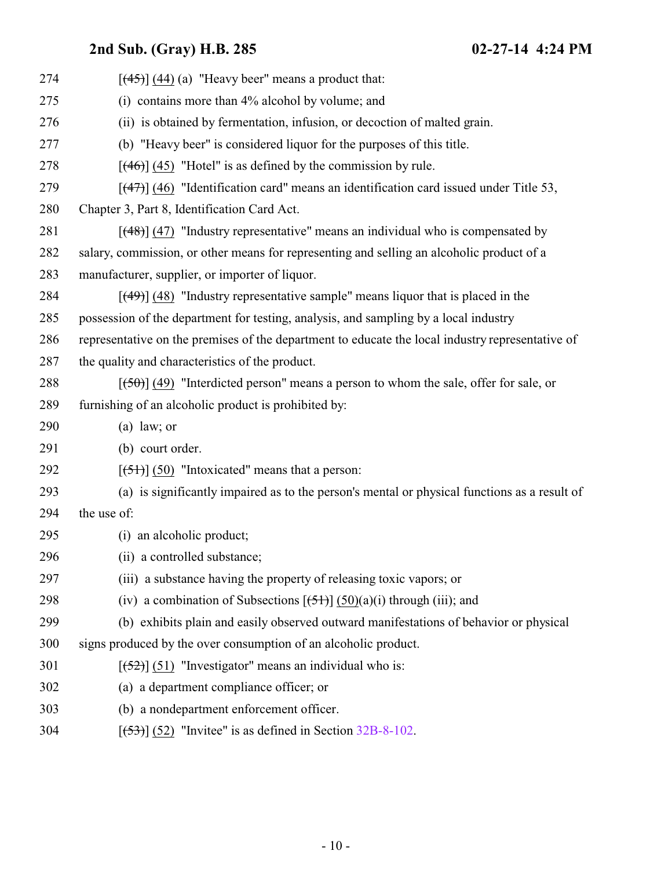| 274 | $[$ (44) (44) (a) "Heavy beer" means a product that:                                             |
|-----|--------------------------------------------------------------------------------------------------|
| 275 | (i) contains more than 4% alcohol by volume; and                                                 |
| 276 | (ii) is obtained by fermentation, infusion, or decoction of malted grain.                        |
| 277 | (b) "Heavy beer" is considered liquor for the purposes of this title.                            |
| 278 | $[$ (46)] (45) "Hotel" is as defined by the commission by rule.                                  |
| 279 | $[$ (47) $]$ (46) "Identification card" means an identification card issued under Title 53,      |
| 280 | Chapter 3, Part 8, Identification Card Act.                                                      |
| 281 | $[$ (48)] (47) "Industry representative" means an individual who is compensated by               |
| 282 | salary, commission, or other means for representing and selling an alcoholic product of a        |
| 283 | manufacturer, supplier, or importer of liquor.                                                   |
| 284 | $[$ (49)] (48) "Industry representative sample" means liquor that is placed in the               |
| 285 | possession of the department for testing, analysis, and sampling by a local industry             |
| 286 | representative on the premises of the department to educate the local industry representative of |
| 287 | the quality and characteristics of the product.                                                  |
| 288 | $[\frac{150}{10}]$ (49) "Interdicted person" means a person to whom the sale, offer for sale, or |
| 289 | furnishing of an alcoholic product is prohibited by:                                             |
| 290 | $(a)$ law; or                                                                                    |
| 291 | (b) court order.                                                                                 |
| 292 | $[ (51) ] (50)$ "Intoxicated" means that a person:                                               |
| 293 | (a) is significantly impaired as to the person's mental or physical functions as a result of     |
| 294 | the use of:                                                                                      |
| 295 | (i) an alcoholic product;                                                                        |
| 296 | (ii) a controlled substance;                                                                     |
| 297 | (iii) a substance having the property of releasing toxic vapors; or                              |
| 298 | (iv) a combination of Subsections $[\frac{5+}{5}]$ (50)(a)(i) through (iii); and                 |
| 299 | (b) exhibits plain and easily observed outward manifestations of behavior or physical            |
| 300 | signs produced by the over consumption of an alcoholic product.                                  |
| 301 | $[52]$ (51) "Investigator" means an individual who is:                                           |
| 302 | (a) a department compliance officer; or                                                          |
| 303 | (b) a nondepartment enforcement officer.                                                         |
| 304 | $[53]$ (52) "Invitee" is as defined in Section 32B-8-102.                                        |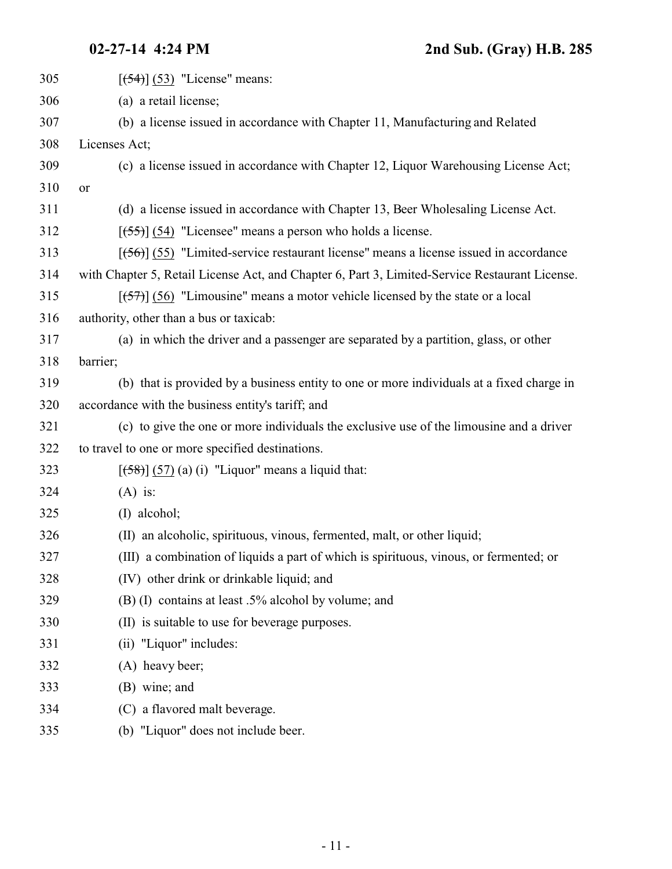| 305 | $[54]$ (53) "License" means:                                                                   |
|-----|------------------------------------------------------------------------------------------------|
| 306 | (a) a retail license;                                                                          |
| 307 | (b) a license issued in accordance with Chapter 11, Manufacturing and Related                  |
| 308 | Licenses Act;                                                                                  |
| 309 | (c) a license issued in accordance with Chapter 12, Liquor Warehousing License Act;            |
| 310 | or                                                                                             |
| 311 | (d) a license issued in accordance with Chapter 13, Beer Wholesaling License Act.              |
| 312 | $[ (55) ] (54)$ "Licensee" means a person who holds a license.                                 |
| 313 | $[ (56) ]$ (55) "Limited-service restaurant license" means a license issued in accordance      |
| 314 | with Chapter 5, Retail License Act, and Chapter 6, Part 3, Limited-Service Restaurant License. |
| 315 | $[57]$ (56) "Limousine" means a motor vehicle licensed by the state or a local                 |
| 316 | authority, other than a bus or taxicab:                                                        |
| 317 | (a) in which the driver and a passenger are separated by a partition, glass, or other          |
| 318 | barrier;                                                                                       |
| 319 | (b) that is provided by a business entity to one or more individuals at a fixed charge in      |
| 320 | accordance with the business entity's tariff; and                                              |
| 321 | (c) to give the one or more individuals the exclusive use of the limousine and a driver        |
| 322 | to travel to one or more specified destinations.                                               |
| 323 | $[58]$ (57) (a) (i) "Liquor" means a liquid that:                                              |
| 324 | $(A)$ is:                                                                                      |
| 325 | (I) alcohol;                                                                                   |
| 326 | (II) an alcoholic, spirituous, vinous, fermented, malt, or other liquid;                       |
| 327 | (III) a combination of liquids a part of which is spirituous, vinous, or fermented; or         |
| 328 | (IV) other drink or drinkable liquid; and                                                      |
| 329 | (B) (I) contains at least .5% alcohol by volume; and                                           |
| 330 | (II) is suitable to use for beverage purposes.                                                 |
| 331 | (ii) "Liquor" includes:                                                                        |
| 332 | (A) heavy beer;                                                                                |
| 333 | (B) wine; and                                                                                  |
| 334 | (C) a flavored malt beverage.                                                                  |
| 335 | (b) "Liquor" does not include beer.                                                            |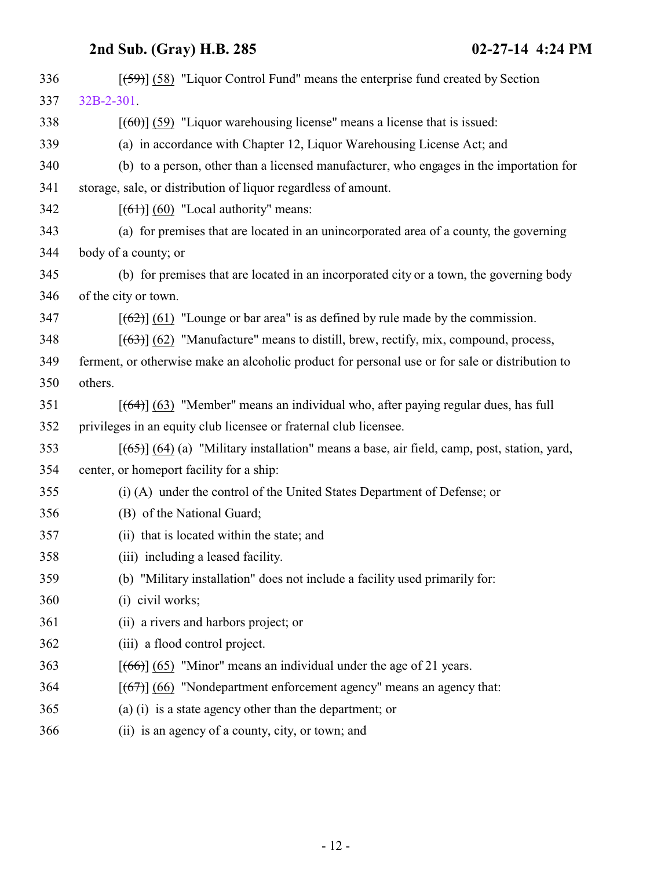| 336 | $[59]$ (58) "Liquor Control Fund" means the enterprise fund created by Section                  |
|-----|-------------------------------------------------------------------------------------------------|
| 337 | 32B-2-301.                                                                                      |
| 338 | $[60]$ (59) "Liquor warehousing license" means a license that is issued:                        |
| 339 | (a) in accordance with Chapter 12, Liquor Warehousing License Act; and                          |
| 340 | (b) to a person, other than a licensed manufacturer, who engages in the importation for         |
| 341 | storage, sale, or distribution of liquor regardless of amount.                                  |
| 342 | $[ (61) ] (60)$ "Local authority" means:                                                        |
| 343 | (a) for premises that are located in an unincorporated area of a county, the governing          |
| 344 | body of a county; or                                                                            |
| 345 | (b) for premises that are located in an incorporated city or a town, the governing body         |
| 346 | of the city or town.                                                                            |
| 347 | $[62]$ (61) "Lounge or bar area" is as defined by rule made by the commission.                  |
| 348 | $[ (63) ]$ (62) "Manufacture" means to distill, brew, rectify, mix, compound, process,          |
| 349 | ferment, or otherwise make an alcoholic product for personal use or for sale or distribution to |
| 350 | others.                                                                                         |
| 351 | [(64)] (63) "Member" means an individual who, after paying regular dues, has full               |
| 352 | privileges in an equity club licensee or fraternal club licensee.                               |
| 353 | $[ (65) ] (64)$ (a) "Military installation" means a base, air field, camp, post, station, yard, |
| 354 | center, or homeport facility for a ship:                                                        |
| 355 | (i) (A) under the control of the United States Department of Defense; or                        |
| 356 | (B) of the National Guard;                                                                      |
| 357 | (ii) that is located within the state; and                                                      |
| 358 | (iii) including a leased facility.                                                              |
| 359 | (b) "Military installation" does not include a facility used primarily for:                     |
| 360 | (i) civil works;                                                                                |
| 361 | (ii) a rivers and harbors project; or                                                           |
| 362 | (iii) a flood control project.                                                                  |
| 363 | $[ (66) ] (65)$ "Minor" means an individual under the age of 21 years.                          |
| 364 | $[ (67) ] (66)$ "Nondepartment enforcement agency" means an agency that:                        |
| 365 | (a) (i) is a state agency other than the department; or                                         |
| 366 | (ii) is an agency of a county, city, or town; and                                               |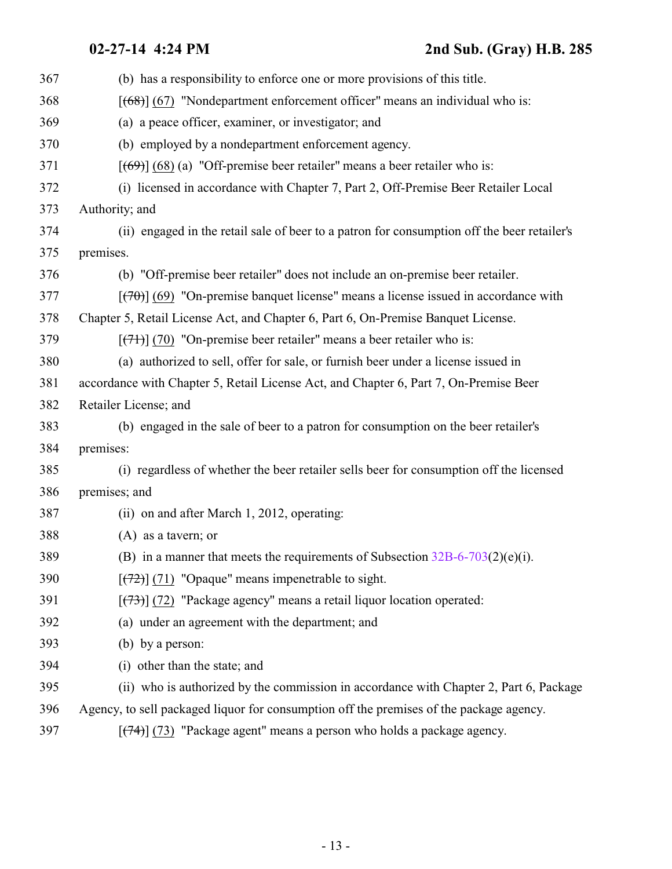| 367 | (b) has a responsibility to enforce one or more provisions of this title.                   |
|-----|---------------------------------------------------------------------------------------------|
| 368 | $[ (68) ] (67)$ "Nondepartment enforcement officer" means an individual who is:             |
| 369 | (a) a peace officer, examiner, or investigator; and                                         |
| 370 | (b) employed by a nondepartment enforcement agency.                                         |
| 371 | $[$ (69)] (68) (a) "Off-premise beer retailer" means a beer retailer who is:                |
| 372 | (i) licensed in accordance with Chapter 7, Part 2, Off-Premise Beer Retailer Local          |
| 373 | Authority; and                                                                              |
| 374 | (ii) engaged in the retail sale of beer to a patron for consumption off the beer retailer's |
| 375 | premises.                                                                                   |
| 376 | (b) "Off-premise beer retailer" does not include an on-premise beer retailer.               |
| 377 | $[$ (470)] (69) "On-premise banquet license" means a license issued in accordance with      |
| 378 | Chapter 5, Retail License Act, and Chapter 6, Part 6, On-Premise Banquet License.           |
| 379 | $[\frac{(7+)}{(7+)}]$ (70) "On-premise beer retailer" means a beer retailer who is:         |
| 380 | (a) authorized to sell, offer for sale, or furnish beer under a license issued in           |
| 381 | accordance with Chapter 5, Retail License Act, and Chapter 6, Part 7, On-Premise Beer       |
| 382 | Retailer License; and                                                                       |
| 383 | (b) engaged in the sale of beer to a patron for consumption on the beer retailer's          |
| 384 | premises:                                                                                   |
| 385 | (i) regardless of whether the beer retailer sells beer for consumption off the licensed     |
| 386 | premises; and                                                                               |
| 387 | (ii) on and after March 1, 2012, operating:                                                 |
| 388 | $(A)$ as a tavern; or                                                                       |
| 389 | (B) in a manner that meets the requirements of Subsection $32B-6-703(2)(e)(i)$ .            |
| 390 | $[\frac{72}{2}]$ (71) "Opaque" means impenetrable to sight.                                 |
| 391 | $[$ (73) $]$ (72) "Package agency" means a retail liquor location operated:                 |
| 392 | (a) under an agreement with the department; and                                             |
| 393 | (b) by a person:                                                                            |
| 394 | (i) other than the state; and                                                               |
| 395 | (ii) who is authorized by the commission in accordance with Chapter 2, Part 6, Package      |
| 396 | Agency, to sell packaged liquor for consumption off the premises of the package agency.     |
|     |                                                                                             |

397 [(74)] (73) "Package agent" means a person who holds a package agency.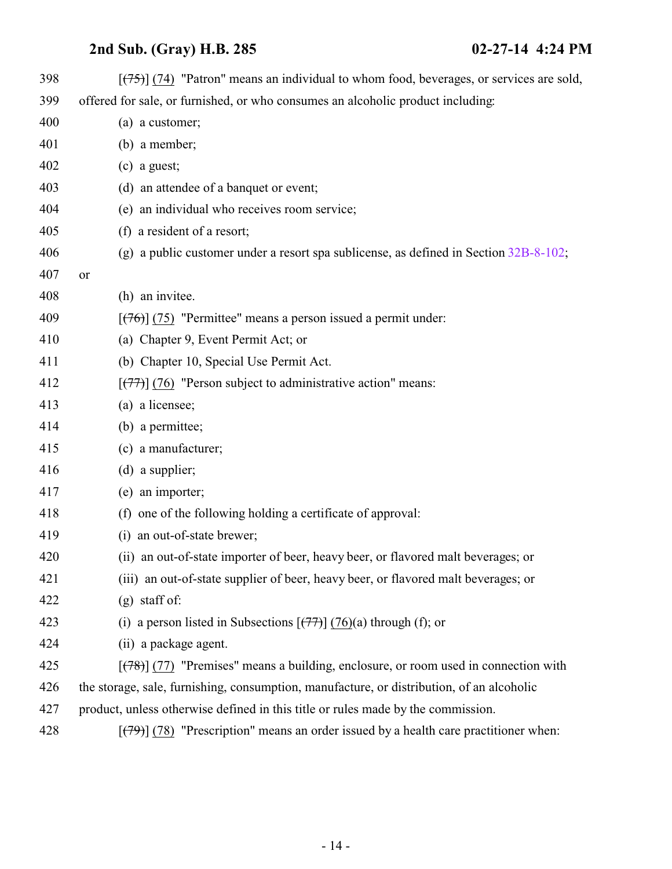| 398 | $[\overline{(75)}]$ (74) "Patron" means an individual to whom food, beverages, or services are sold, |
|-----|------------------------------------------------------------------------------------------------------|
| 399 | offered for sale, or furnished, or who consumes an alcoholic product including:                      |
| 400 | (a) a customer;                                                                                      |
| 401 | $(b)$ a member;                                                                                      |
| 402 | $(c)$ a guest;                                                                                       |
| 403 | (d) an attendee of a banquet or event;                                                               |
| 404 | (e) an individual who receives room service;                                                         |
| 405 | (f) a resident of a resort;                                                                          |
| 406 | (g) a public customer under a resort spa sublicense, as defined in Section $32B-8-102$ ;             |
| 407 | or                                                                                                   |
| 408 | (h) an invitee.                                                                                      |
| 409 | $[ (76) ]$ (75) "Permittee" means a person issued a permit under:                                    |
| 410 | (a) Chapter 9, Event Permit Act; or                                                                  |
| 411 | (b) Chapter 10, Special Use Permit Act.                                                              |
| 412 | $[\overline{(77)}]$ (76) "Person subject to administrative action" means:                            |
| 413 | (a) a licensee;                                                                                      |
| 414 | (b) a permittee;                                                                                     |
| 415 | (c) a manufacturer;                                                                                  |
| 416 | $(d)$ a supplier;                                                                                    |
| 417 | (e) an importer;                                                                                     |
| 418 | (f) one of the following holding a certificate of approval:                                          |
| 419 | (i) an out-of-state brewer;                                                                          |
| 420 | (ii) an out-of-state importer of beer, heavy beer, or flavored malt beverages; or                    |
| 421 | (iii) an out-of-state supplier of beer, heavy beer, or flavored malt beverages; or                   |
| 422 | $(g)$ staff of:                                                                                      |
| 423 | (i) a person listed in Subsections $\left[\frac{(77)}{(76)}\right]$ (76)(a) through (f); or          |
| 424 | (ii) a package agent.                                                                                |
| 425 | $[ (78) ]$ (77) "Premises" means a building, enclosure, or room used in connection with              |
| 426 | the storage, sale, furnishing, consumption, manufacture, or distribution, of an alcoholic            |
| 427 | product, unless otherwise defined in this title or rules made by the commission.                     |
| 428 | $[$ (79) (78) "Prescription" means an order issued by a health care practitioner when:               |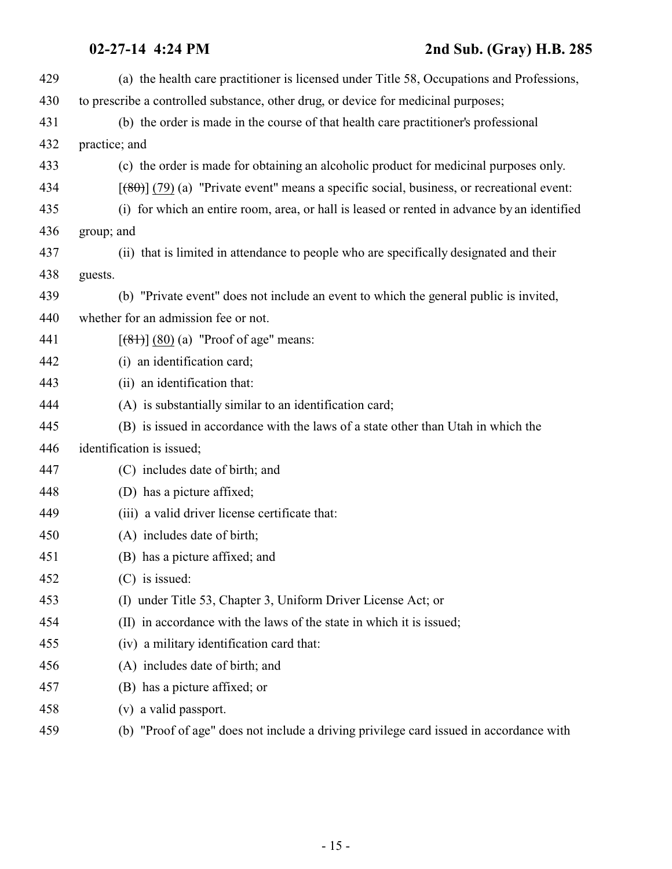| 429 | (a) the health care practitioner is licensed under Title 58, Occupations and Professions,     |
|-----|-----------------------------------------------------------------------------------------------|
| 430 | to prescribe a controlled substance, other drug, or device for medicinal purposes;            |
| 431 | (b) the order is made in the course of that health care practitioner's professional           |
| 432 | practice; and                                                                                 |
| 433 | (c) the order is made for obtaining an alcoholic product for medicinal purposes only.         |
| 434 | $[ (80) ]$ (79) (a) "Private event" means a specific social, business, or recreational event: |
| 435 | (i) for which an entire room, area, or hall is leased or rented in advance by an identified   |
| 436 | group; and                                                                                    |
| 437 | (ii) that is limited in attendance to people who are specifically designated and their        |
| 438 | guests.                                                                                       |
| 439 | (b) "Private event" does not include an event to which the general public is invited,         |
| 440 | whether for an admission fee or not.                                                          |
| 441 | $[ (81) ] (80) (a)$ "Proof of age" means:                                                     |
| 442 | (i) an identification card;                                                                   |
| 443 | (ii) an identification that:                                                                  |
| 444 | (A) is substantially similar to an identification card;                                       |
| 445 | (B) is issued in accordance with the laws of a state other than Utah in which the             |
| 446 | identification is issued;                                                                     |
| 447 | (C) includes date of birth; and                                                               |
| 448 | (D) has a picture affixed;                                                                    |
| 449 | (iii) a valid driver license certificate that:                                                |
| 450 | (A) includes date of birth;                                                                   |
| 451 | (B) has a picture affixed; and                                                                |
| 452 | $(C)$ is issued:                                                                              |
| 453 | (I) under Title 53, Chapter 3, Uniform Driver License Act; or                                 |
| 454 | (II) in accordance with the laws of the state in which it is issued;                          |
| 455 | (iv) a military identification card that:                                                     |
| 456 | (A) includes date of birth; and                                                               |
| 457 | (B) has a picture affixed; or                                                                 |
| 458 | (v) a valid passport.                                                                         |
| 459 | (b) "Proof of age" does not include a driving privilege card issued in accordance with        |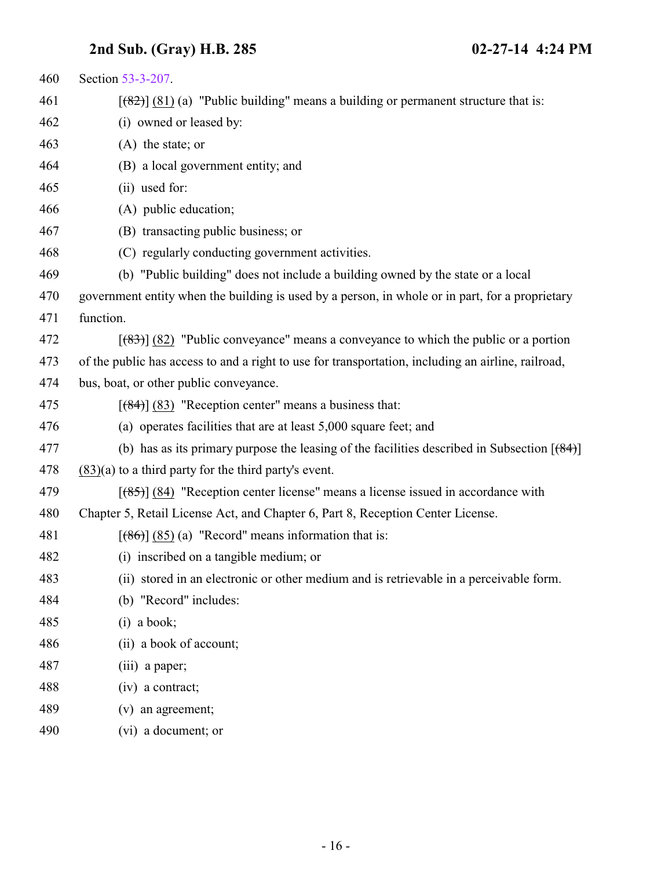| 460 | Section 53-3-207.                                                                                  |
|-----|----------------------------------------------------------------------------------------------------|
| 461 | $[$ (82)] (81) (a) "Public building" means a building or permanent structure that is:              |
| 462 | (i) owned or leased by:                                                                            |
| 463 | $(A)$ the state; or                                                                                |
| 464 | (B) a local government entity; and                                                                 |
| 465 | (ii) used for:                                                                                     |
| 466 | (A) public education;                                                                              |
| 467 | (B) transacting public business; or                                                                |
| 468 | (C) regularly conducting government activities.                                                    |
| 469 | (b) "Public building" does not include a building owned by the state or a local                    |
| 470 | government entity when the building is used by a person, in whole or in part, for a proprietary    |
| 471 | function.                                                                                          |
| 472 | $[$ (83) $]$ (82) "Public conveyance" means a conveyance to which the public or a portion          |
| 473 | of the public has access to and a right to use for transportation, including an airline, railroad, |
| 474 | bus, boat, or other public conveyance.                                                             |
| 475 | $[$ (84)] (83) "Reception center" means a business that:                                           |
| 476 | (a) operates facilities that are at least 5,000 square feet; and                                   |
| 477 | (b) has as its primary purpose the leasing of the facilities described in Subsection $[ (84) ]$    |
| 478 | $(83)(a)$ to a third party for the third party's event.                                            |
| 479 | $[$ (85)] (84) "Reception center license" means a license issued in accordance with                |
| 480 | Chapter 5, Retail License Act, and Chapter 6, Part 8, Reception Center License.                    |
| 481 | $[ (86) ] (85)$ (a) "Record" means information that is:                                            |
| 482 | (i) inscribed on a tangible medium; or                                                             |
| 483 | (ii) stored in an electronic or other medium and is retrievable in a perceivable form.             |
| 484 | (b) "Record" includes:                                                                             |
| 485 | $(i)$ a book;                                                                                      |
| 486 | (ii) a book of account;                                                                            |
| 487 | (iii) a paper;                                                                                     |
| 488 | $(iv)$ a contract;                                                                                 |
| 489 | (v) an agreement;                                                                                  |
| 490 | (vi) a document; or                                                                                |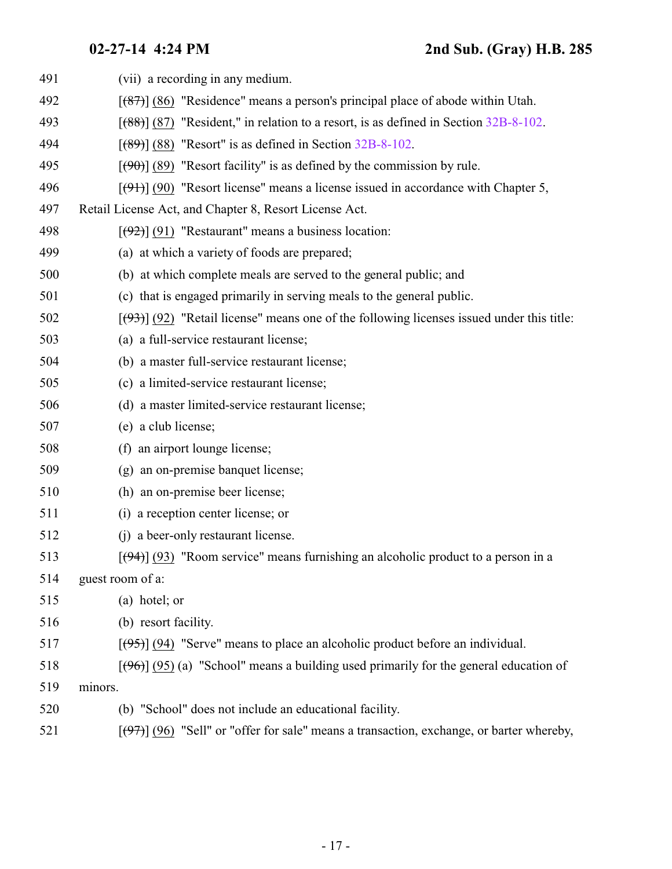| 491 | (vii) a recording in any medium.                                                                         |
|-----|----------------------------------------------------------------------------------------------------------|
| 492 | $[$ (87) (86) "Residence" means a person's principal place of abode within Utah.                         |
| 493 | $[ (88) ]$ (87) "Resident," in relation to a resort, is as defined in Section 32B-8-102.                 |
| 494 | $[ (89) ]$ (88) "Resort" is as defined in Section 32B-8-102.                                             |
| 495 | $[$ (90) $]$ (89) "Resort facility" is as defined by the commission by rule.                             |
| 496 | $[\frac{1}{2}, \frac{1}{2}]$ (90) "Resort license" means a license issued in accordance with Chapter 5,  |
| 497 | Retail License Act, and Chapter 8, Resort License Act.                                                   |
| 498 | $[ (92) ] (91)$ "Restaurant" means a business location:                                                  |
| 499 | (a) at which a variety of foods are prepared;                                                            |
| 500 | (b) at which complete meals are served to the general public; and                                        |
| 501 | (c) that is engaged primarily in serving meals to the general public.                                    |
| 502 | $[ (93) ]$ (92) "Retail license" means one of the following licenses issued under this title:            |
| 503 | (a) a full-service restaurant license;                                                                   |
| 504 | (b) a master full-service restaurant license;                                                            |
| 505 | (c) a limited-service restaurant license;                                                                |
| 506 | (d) a master limited-service restaurant license;                                                         |
| 507 | (e) a club license;                                                                                      |
| 508 | (f) an airport lounge license;                                                                           |
| 509 | (g) an on-premise banquet license;                                                                       |
| 510 | (h) an on-premise beer license;                                                                          |
| 511 | (i) a reception center license; or                                                                       |
| 512 | (j) a beer-only restaurant license.                                                                      |
| 513 | $[\left(\frac{94}{9}\right)]$ (93) "Room service" means furnishing an alcoholic product to a person in a |
| 514 | guest room of a:                                                                                         |
| 515 | (a) hotel; or                                                                                            |
| 516 | (b) resort facility.                                                                                     |
| 517 | $[ (95) ]$ (94) "Serve" means to place an alcoholic product before an individual.                        |
| 518 | $[ (96) ]$ (95) (a) "School" means a building used primarily for the general education of                |
| 519 | minors.                                                                                                  |
| 520 | (b) "School" does not include an educational facility.                                                   |
| 521 | $[\frac{107}{10}]$ (96) "Sell" or "offer for sale" means a transaction, exchange, or barter whereby,     |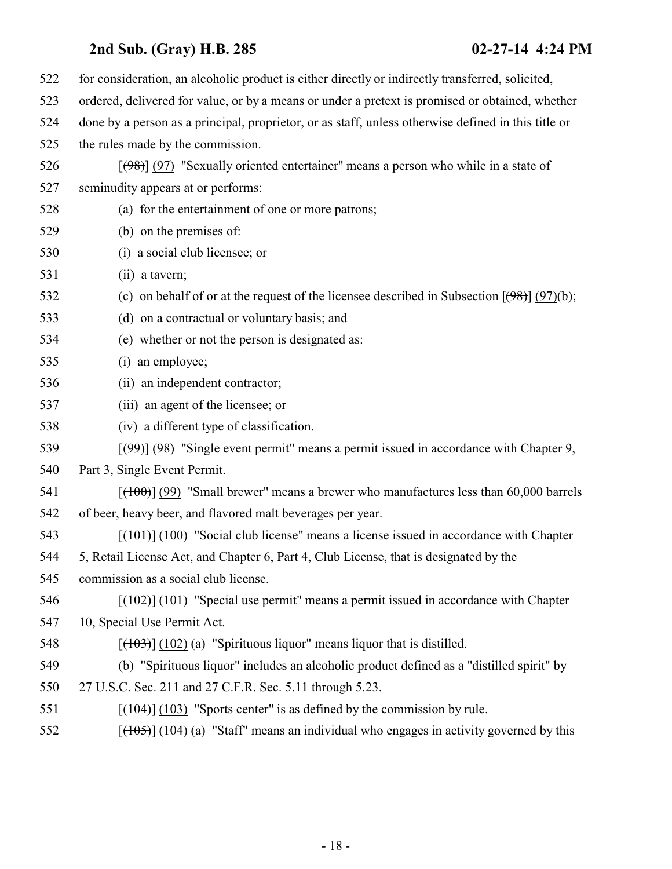| 522 | for consideration, an alcoholic product is either directly or indirectly transferred, solicited,          |
|-----|-----------------------------------------------------------------------------------------------------------|
| 523 | ordered, delivered for value, or by a means or under a pretext is promised or obtained, whether           |
| 524 | done by a person as a principal, proprietor, or as staff, unless otherwise defined in this title or       |
| 525 | the rules made by the commission.                                                                         |
| 526 | $[ (98) ] (97)$ "Sexually oriented entertainer" means a person who while in a state of                    |
| 527 | seminudity appears at or performs:                                                                        |
| 528 | (a) for the entertainment of one or more patrons;                                                         |
| 529 | (b) on the premises of:                                                                                   |
| 530 | (i) a social club licensee; or                                                                            |
| 531 | (ii) a tavern;                                                                                            |
| 532 | (c) on behalf of or at the request of the licensee described in Subsection $[\frac{(98)}{(97)}]$ (97)(b); |
| 533 | (d) on a contractual or voluntary basis; and                                                              |
| 534 | (e) whether or not the person is designated as:                                                           |
| 535 | (i) an employee;                                                                                          |
| 536 | (ii) an independent contractor;                                                                           |
| 537 | (iii) an agent of the licensee; or                                                                        |
| 538 | (iv) a different type of classification.                                                                  |
| 539 | $[\frac{(99)}{(98)}]$ (98) "Single event permit" means a permit issued in accordance with Chapter 9,      |
| 540 | Part 3, Single Event Permit.                                                                              |
| 541 | $[(100)]$ (99) "Small brewer" means a brewer who manufactures less than 60,000 barrels                    |
| 542 | of beer, heavy beer, and flavored malt beverages per year.                                                |
| 543 | $[$ (101) $]$ (100) "Social club license" means a license issued in accordance with Chapter               |
| 544 | 5, Retail License Act, and Chapter 6, Part 4, Club License, that is designated by the                     |
| 545 | commission as a social club license.                                                                      |
| 546 | $[ (102) ] (101)$ "Special use permit" means a permit issued in accordance with Chapter                   |
| 547 | 10, Special Use Permit Act.                                                                               |
| 548 | $[ (102) (a)$ "Spirituous liquor" means liquor that is distilled.                                         |
| 549 | (b) "Spirituous liquor" includes an alcoholic product defined as a "distilled spirit" by                  |
| 550 | 27 U.S.C. Sec. 211 and 27 C.F.R. Sec. 5.11 through 5.23.                                                  |
| 551 | $[ (103)$ "Sports center" is as defined by the commission by rule.                                        |
| 552 | $[(105)] (104)$ (a) "Staff" means an individual who engages in activity governed by this                  |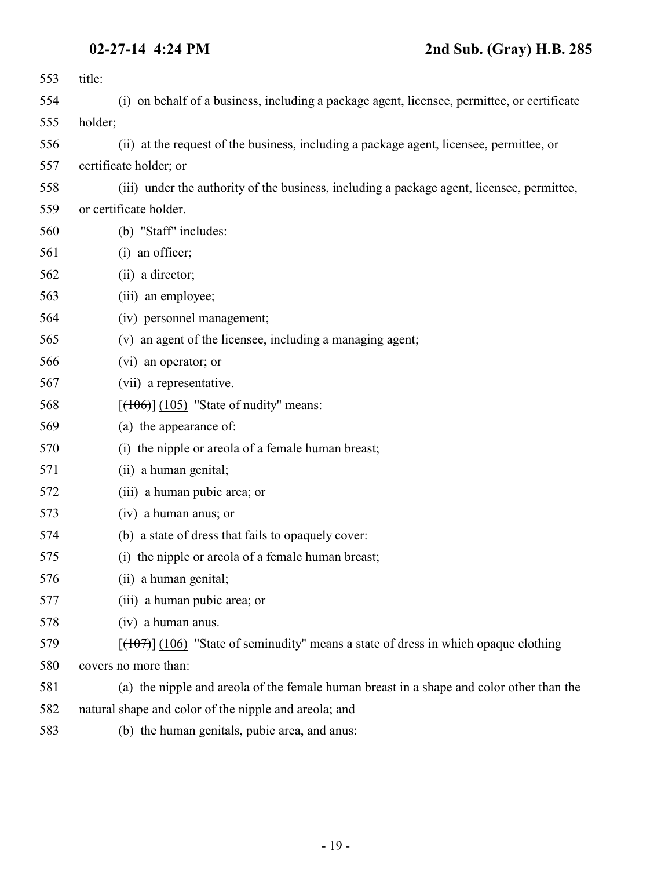| 553 | title:                                                                                      |
|-----|---------------------------------------------------------------------------------------------|
| 554 | (i) on behalf of a business, including a package agent, licensee, permittee, or certificate |
| 555 | holder;                                                                                     |
| 556 | (ii) at the request of the business, including a package agent, licensee, permittee, or     |
| 557 | certificate holder; or                                                                      |
| 558 | (iii) under the authority of the business, including a package agent, licensee, permittee,  |
| 559 | or certificate holder.                                                                      |
| 560 | (b) "Staff" includes:                                                                       |
| 561 | (i) an officer;                                                                             |
| 562 | (ii) a director;                                                                            |
| 563 | (iii) an employee;                                                                          |
| 564 | (iv) personnel management;                                                                  |
| 565 | (v) an agent of the licensee, including a managing agent;                                   |
| 566 | (vi) an operator; or                                                                        |
| 567 | (vii) a representative.                                                                     |
| 568 | $[ (106) ] (105)$ "State of nudity" means:                                                  |
| 569 | (a) the appearance of:                                                                      |
| 570 | (i) the nipple or areola of a female human breast;                                          |
| 571 | (ii) a human genital;                                                                       |
| 572 | (iii) a human pubic area; or                                                                |
| 573 | (iv) a human anus; or                                                                       |
| 574 | (b) a state of dress that fails to opaquely cover:                                          |
| 575 | (i) the nipple or areola of a female human breast;                                          |
| 576 | (ii) a human genital;                                                                       |
| 577 | (iii) a human pubic area; or                                                                |
| 578 | (iv) a human anus.                                                                          |
| 579 | $[ (106)$ "State of seminudity" means a state of dress in which opaque clothing             |
| 580 | covers no more than:                                                                        |
| 581 | (a) the nipple and areola of the female human breast in a shape and color other than the    |
| 582 | natural shape and color of the nipple and areola; and                                       |
| 583 | (b) the human genitals, pubic area, and anus:                                               |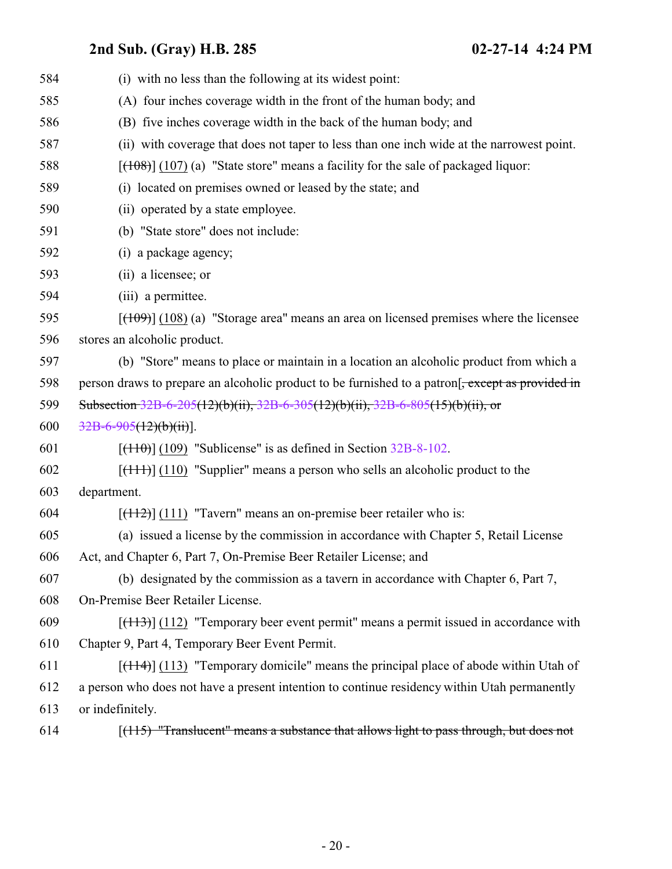| 584 | (i) with no less than the following at its widest point:                                     |
|-----|----------------------------------------------------------------------------------------------|
| 585 | (A) four inches coverage width in the front of the human body; and                           |
| 586 | (B) five inches coverage width in the back of the human body; and                            |
| 587 | (ii) with coverage that does not taper to less than one inch wide at the narrowest point.    |
| 588 | $[ (108) ] (107)$ (a) "State store" means a facility for the sale of packaged liquor:        |
| 589 | (i) located on premises owned or leased by the state; and                                    |
| 590 | (ii) operated by a state employee.                                                           |
| 591 | (b) "State store" does not include:                                                          |
| 592 | (i) a package agency;                                                                        |
| 593 | (ii) a licensee; or                                                                          |
| 594 | (iii) a permittee.                                                                           |
| 595 | $[ (109) ] (108)$ (a) "Storage area" means an area on licensed premises where the licensee   |
| 596 | stores an alcoholic product.                                                                 |
| 597 | (b) "Store" means to place or maintain in a location an alcoholic product from which a       |
| 598 | person draws to prepare an alcoholic product to be furnished to a patron.                    |
| 599 | Subsection $32B-6-205(12)(b)(ii)$ , $32B-6-305(12)(b)(ii)$ , $32B-6-805(15)(b)(ii)$ , or     |
| 600 | $32B-6-905(12)(b)(ii)$ .                                                                     |
| 601 | $[ (110) ] (109)$ "Sublicense" is as defined in Section 32B-8-102.                           |
| 602 | $[\frac{(111)}{(110)}]$ "Supplier" means a person who sells an alcoholic product to the      |
| 603 | department.                                                                                  |
| 604 | $[ (112) ] (111)$ "Tavern" means an on-premise beer retailer who is:                         |
| 605 | (a) issued a license by the commission in accordance with Chapter 5, Retail License          |
| 606 | Act, and Chapter 6, Part 7, On-Premise Beer Retailer License; and                            |
| 607 | (b) designated by the commission as a tavern in accordance with Chapter 6, Part 7,           |
| 608 | On-Premise Beer Retailer License.                                                            |
| 609 | $[(113)]$ (112) "Temporary beer event permit" means a permit issued in accordance with       |
| 610 | Chapter 9, Part 4, Temporary Beer Event Permit.                                              |
| 611 | $[ (114) ]$ (113) "Temporary domicile" means the principal place of abode within Utah of     |
| 612 | a person who does not have a present intention to continue residency within Utah permanently |
| 613 | or indefinitely.                                                                             |
| 614 | $[ (115)$ "Translucent" means a substance that allows light to pass through, but does not    |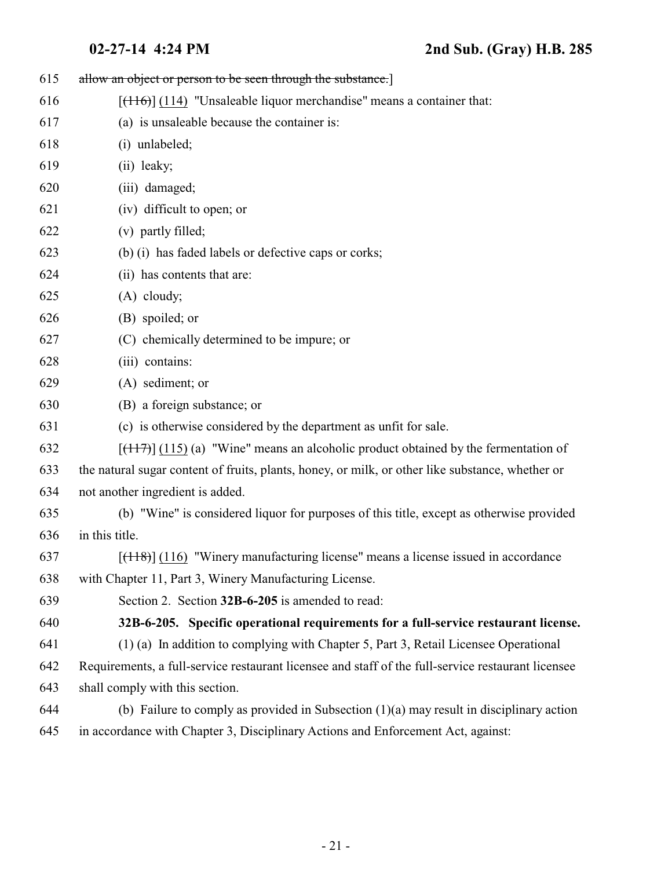<span id="page-20-0"></span>

| 615 | allow an object or person to be seen through the substance.                                                       |
|-----|-------------------------------------------------------------------------------------------------------------------|
| 616 | $[\frac{(116)}{(114)}]$ "Unsaleable liquor merchandise" means a container that:                                   |
| 617 | (a) is unsaleable because the container is:                                                                       |
| 618 | (i) unlabeled;                                                                                                    |
| 619 | (ii) leaky;                                                                                                       |
| 620 | (iii) damaged;                                                                                                    |
| 621 | (iv) difficult to open; or                                                                                        |
| 622 | (v) partly filled;                                                                                                |
| 623 | (b) (i) has faded labels or defective caps or corks;                                                              |
| 624 | (ii) has contents that are:                                                                                       |
| 625 | $(A)$ cloudy;                                                                                                     |
| 626 | (B) spoiled; or                                                                                                   |
| 627 | (C) chemically determined to be impure; or                                                                        |
| 628 | (iii) contains:                                                                                                   |
| 629 | (A) sediment; or                                                                                                  |
| 630 | (B) a foreign substance; or                                                                                       |
| 631 | (c) is otherwise considered by the department as unfit for sale.                                                  |
| 632 | $[ (117) ]$ (115) (a) "Wine" means an alcoholic product obtained by the fermentation of                           |
| 633 | the natural sugar content of fruits, plants, honey, or milk, or other like substance, whether or                  |
| 634 | not another ingredient is added.                                                                                  |
| 635 | (b) "Wine" is considered liquor for purposes of this title, except as otherwise provided                          |
| 636 | in this title.                                                                                                    |
| 637 | $[$ ( $\left(118\right)$ ) $\left(116\right)$ "Winery manufacturing license" means a license issued in accordance |
| 638 | with Chapter 11, Part 3, Winery Manufacturing License.                                                            |
| 639 | Section 2. Section 32B-6-205 is amended to read:                                                                  |
| 640 | 32B-6-205. Specific operational requirements for a full-service restaurant license.                               |
| 641 | (1) (a) In addition to complying with Chapter 5, Part 3, Retail Licensee Operational                              |
| 642 | Requirements, a full-service restaurant licensee and staff of the full-service restaurant licensee                |
| 643 | shall comply with this section.                                                                                   |
| 644 | (b) Failure to comply as provided in Subsection $(1)(a)$ may result in disciplinary action                        |
| 645 | in accordance with Chapter 3, Disciplinary Actions and Enforcement Act, against:                                  |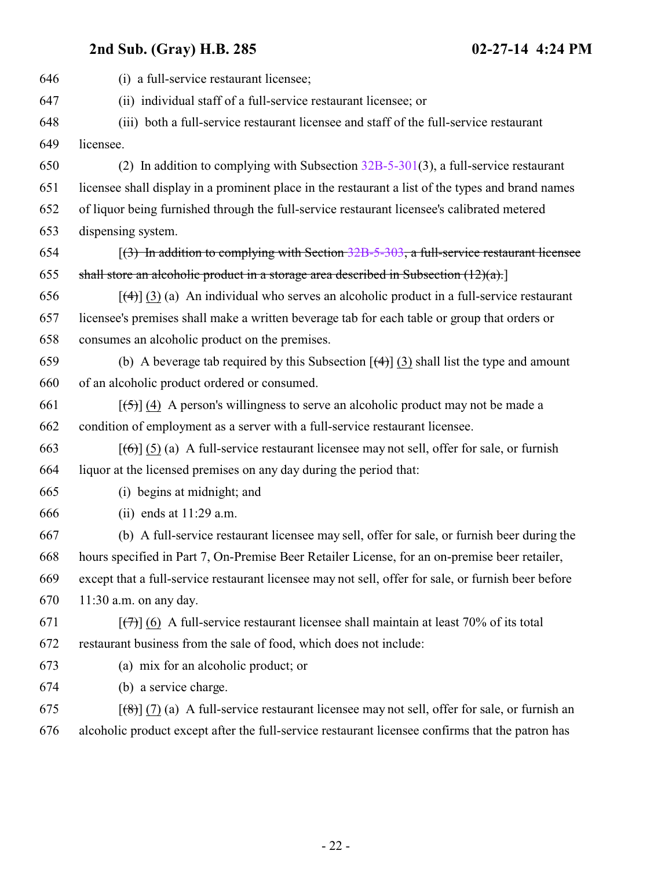| 646 | (i) a full-service restaurant licensee;                                                                                    |
|-----|----------------------------------------------------------------------------------------------------------------------------|
| 647 | (ii) individual staff of a full-service restaurant licensee; or                                                            |
| 648 | (iii) both a full-service restaurant licensee and staff of the full-service restaurant                                     |
| 649 | licensee.                                                                                                                  |
| 650 | (2) In addition to complying with Subsection $32B-5-301(3)$ , a full-service restaurant                                    |
| 651 | licensee shall display in a prominent place in the restaurant a list of the types and brand names                          |
| 652 | of liquor being furnished through the full-service restaurant licensee's calibrated metered                                |
| 653 | dispensing system.                                                                                                         |
| 654 | $(3)$ In addition to complying with Section 32B-5-303, a full-service restaurant licensee                                  |
| 655 | shall store an alcoholic product in a storage area described in Subsection $(12)(a)$ .                                     |
| 656 | $[\frac{4}{3}]$ (3) (a) An individual who serves an alcoholic product in a full-service restaurant                         |
| 657 | licensee's premises shall make a written beverage tab for each table or group that orders or                               |
| 658 | consumes an alcoholic product on the premises.                                                                             |
| 659 | (b) A beverage tab required by this Subsection $[\left(4\right)]$ (3) shall list the type and amount                       |
| 660 | of an alcoholic product ordered or consumed.                                                                               |
| 661 | $[\frac{1}{2}, \frac{1}{2}]$ (4) A person's willingness to serve an alcoholic product may not be made a                    |
| 662 | condition of employment as a server with a full-service restaurant licensee.                                               |
| 663 | $[\text{6}]}(5)$ (a) A full-service restaurant licensee may not sell, offer for sale, or furnish                           |
| 664 | liquor at the licensed premises on any day during the period that:                                                         |
| 665 | (i) begins at midnight; and                                                                                                |
| 666 | (ii) ends at $11:29$ a.m.                                                                                                  |
| 667 | (b) A full-service restaurant licensee may sell, offer for sale, or furnish beer during the                                |
| 668 | hours specified in Part 7, On-Premise Beer Retailer License, for an on-premise beer retailer,                              |
| 669 | except that a full-service restaurant licensee may not sell, offer for sale, or furnish beer before                        |
| 670 | $11:30$ a.m. on any day.                                                                                                   |
| 671 | $[\overline{(+)}]$ (6) A full-service restaurant licensee shall maintain at least 70% of its total                         |
| 672 | restaurant business from the sale of food, which does not include:                                                         |
| 673 | (a) mix for an alcoholic product; or                                                                                       |
| 674 | (b) a service charge.                                                                                                      |
| 675 | $\left[\frac{1}{2}\left(7\right)(a)\right]$ A full-service restaurant licensee may not sell, offer for sale, or furnish an |
| 676 | alcoholic product except after the full-service restaurant licensee confirms that the patron has                           |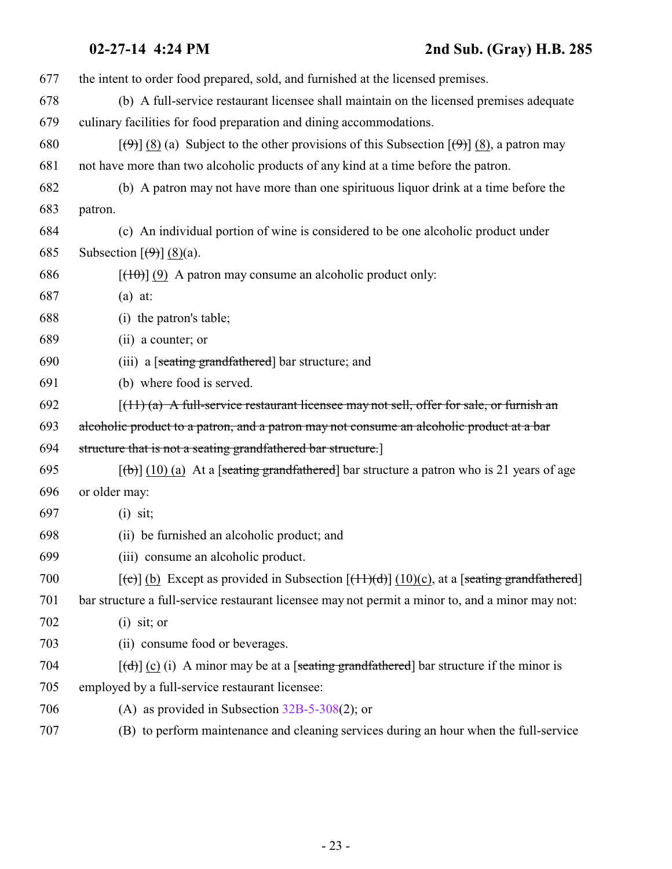the intent to order food prepared, sold, and furnished at the licensed premises.

 (b) A full-service restaurant licensee shall maintain on the licensed premises adequate culinary facilities for food preparation and dining accommodations.

680  $[(9)$  (8) (a) Subject to the other provisions of this Subsection  $[9]$  (8), a patron may not have more than two alcoholic products of any kind at a time before the patron.

- (b) A patron may not have more than one spirituous liquor drink at a time before the patron.
- (c) An individual portion of wine is considered to be one alcoholic product under 685 Subsection  $\left[\left(\frac{\Theta}{2}\right)\right]$  (8)(a).
- 686  $[(10)(9)$  A patron may consume an alcoholic product only:
- (a) at:
- (i) the patron's table;
- (ii) a counter; or
- (iii) a [seating grandfathered] bar structure; and
- (b) where food is served.
- $(692)$  [(11) (a) A full-service restaurant licensee may not sell, offer for sale, or furnish an
- alcoholic product to a patron, and a patron may not consume an alcoholic product at a bar
- structure that is not a seating grandfathered bar structure.]
- 695  $[(b)] (10) (a)$  At a [seating grandfathered] bar structure a patron who is 21 years of age
- or older may:
- (i) sit;
- (ii) be furnished an alcoholic product; and
- (iii) consume an alcoholic product.
- 700  $[(c)]$  (b) Except as provided in Subsection  $[(11)(d)]$  (10)(c), at a [seating grandfathered]
- bar structure a full-service restaurant licensee may not permit a minor to, and a minor may not:
- (i) sit; or
- (ii) consume food or beverages.
- 704  $[(d)]$  (c) (i) A minor may be at a [seating grandfathered] bar structure if the minor is
- employed by a full-service restaurant licensee:
- (A) as provided in Subsection [32B-5-308](http://le.utah.gov/UtahCode/SectionLookup.jsp?section=32b-5-308&session=2014GS)(2); or
- (B) to perform maintenance and cleaning services during an hour when the full-service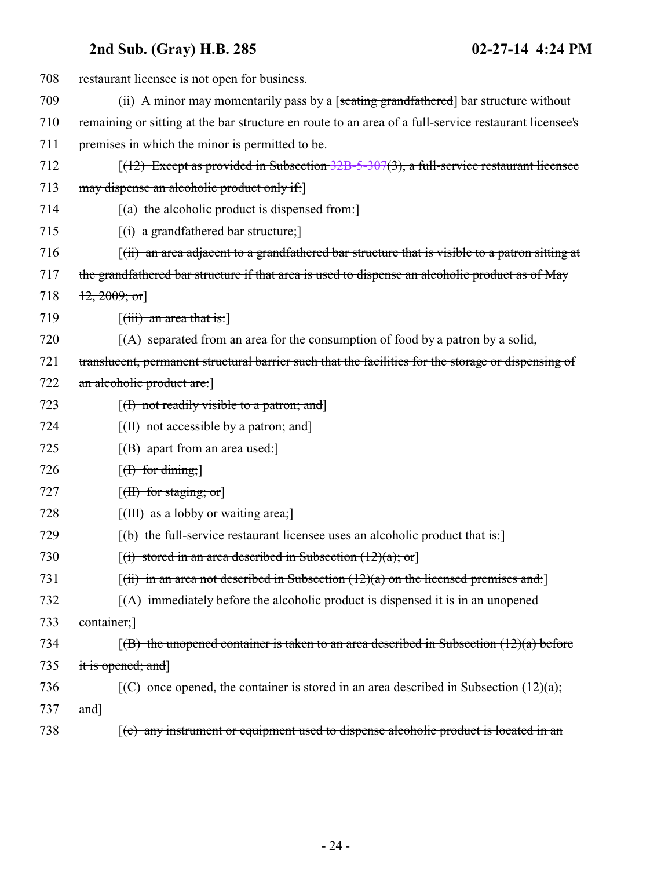| 708 | restaurant licensee is not open for business.                                                                             |
|-----|---------------------------------------------------------------------------------------------------------------------------|
| 709 | (ii) A minor may momentarily pass by a [seating grandfathered] bar structure without                                      |
| 710 | remaining or sitting at the bar structure en route to an area of a full-service restaurant licensee's                     |
| 711 | premises in which the minor is permitted to be.                                                                           |
| 712 | $[(12)$ Except as provided in Subsection 32B-5-307(3), a full-service restaurant licensee                                 |
| 713 | may dispense an alcoholic product only if:                                                                                |
| 714 | $[(a)$ the alcoholic product is dispensed from:                                                                           |
| 715 | $(i)$ a grandfathered bar structure;                                                                                      |
| 716 | $(iii)$ an area adjacent to a grandfathered bar structure that is visible to a patron sitting at                          |
| 717 | the grandfathered bar structure if that area is used to dispense an alcoholic product as of May                           |
| 718 | $\{12, 2009; \text{or}\}$                                                                                                 |
| 719 | $\left[$ (iii) an area that is:                                                                                           |
| 720 | $(A)$ separated from an area for the consumption of food by a patron by a solid,                                          |
| 721 | translucent, permanent structural barrier such that the facilities for the storage or dispensing of                       |
| 722 | an alcoholic product are:                                                                                                 |
| 723 | $[f]$ not readily visible to a patron; and                                                                                |
| 724 | $[({\rm H})$ not accessible by a patron; and $]$                                                                          |
| 725 | [(B) apart from an area used:]                                                                                            |
| 726 | $[f]$ for dining;                                                                                                         |
| 727 | $[\text{H}\text{H}\text{ for staying};\text{or}]$                                                                         |
| 728 | $[\text{(HH) as a lobby or waiting area; ]$                                                                               |
| 729 | $[16]$ the full-service restaurant licensee uses an alcoholic product that is:                                            |
| 730 | $[(i)$ stored in an area described in Subsection $(12)(a)$ ; or                                                           |
| 731 | $\left[\frac{1}{11}\right]$ in an area not described in Subsection (12)(a) on the licensed premises and:                  |
| 732 | $(A)$ immediately before the alcoholic product is dispensed it is in an unopened                                          |
| 733 | container;                                                                                                                |
| 734 | $(6)$ the unopened container is taken to an area described in Subsection $(12)(a)$ before                                 |
| 735 | it is opened; and]                                                                                                        |
| 736 | $\left[\left(\frac{C}{C}\right) \right]$ once opened, the container is stored in an area described in Subsection (12)(a); |
| 737 | and]                                                                                                                      |
| 738 | $(c)$ any instrument or equipment used to dispense alcoholic product is located in an                                     |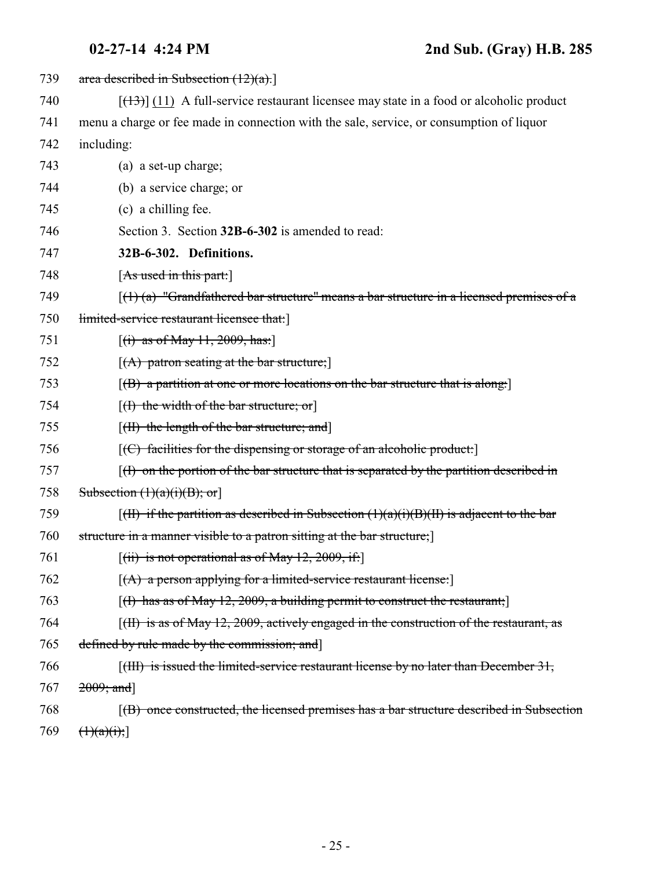<span id="page-24-0"></span>

| 739 | area described in Subsection $(12)(a)$ .                                                                         |
|-----|------------------------------------------------------------------------------------------------------------------|
| 740 | $[ (13) ]$ (11) A full-service restaurant licensee may state in a food or alcoholic product                      |
| 741 | menu a charge or fee made in connection with the sale, service, or consumption of liquor                         |
| 742 | including:                                                                                                       |
| 743 | (a) a set-up charge;                                                                                             |
| 744 | (b) a service charge; or                                                                                         |
| 745 | (c) a chilling fee.                                                                                              |
| 746 | Section 3. Section 32B-6-302 is amended to read:                                                                 |
| 747 | 32B-6-302. Definitions.                                                                                          |
| 748 | [As used in this part.]                                                                                          |
| 749 | $\left[\frac{1}{1}(1)(a)\right]$ "Grandfathered bar structure" means a bar structure in a licensed premises of a |
| 750 | limited-service restaurant licensee that:                                                                        |
| 751 | [(i) as of May $11, 2009$ , has:]                                                                                |
| 752 | $[(A)$ patron seating at the bar structure;                                                                      |
| 753 | $[$ (B) a partition at one or more locations on the bar structure that is along.                                 |
| 754 | [(I) the width of the bar structure; or]                                                                         |
| 755 | $[({\rm H})$ the length of the bar structure; and                                                                |
| 756 | $[ (C)$ facilities for the dispensing or storage of an alcoholic product:                                        |
| 757 | $(f)$ on the portion of the bar structure that is separated by the partition described in                        |
| 758 | Subsection $(1)(a)(i)(B)$ ; or                                                                                   |
| 759 | $\left[\right(H\right)$ if the partition as described in Subsection $(1)(a)(i)(B)(H)$ is adjacent to the bar     |
| 760 | structure in a manner visible to a patron sitting at the bar structure;                                          |
| 761 | $[(ii)$ is not operational as of May 12, 2009, if:                                                               |
| 762 | $[(A)$ a person applying for a limited-service restaurant license:                                               |
| 763 | $[(1)$ has as of May 12, 2009, a building permit to construct the restaurant;                                    |
| 764 | $[f(H)$ is as of May 12, 2009, actively engaged in the construction of the restaurant, as                        |
| 765 | defined by rule made by the commission; and                                                                      |
| 766 | $\left[\right(\text{HH})$ is issued the limited-service restaurant license by no later than December 31,         |
| 767 | $2009;$ and]                                                                                                     |
| 768 | [(B) once constructed, the licensed premises has a bar structure described in Subsection                         |
| 769 | (1)(a)(i);                                                                                                       |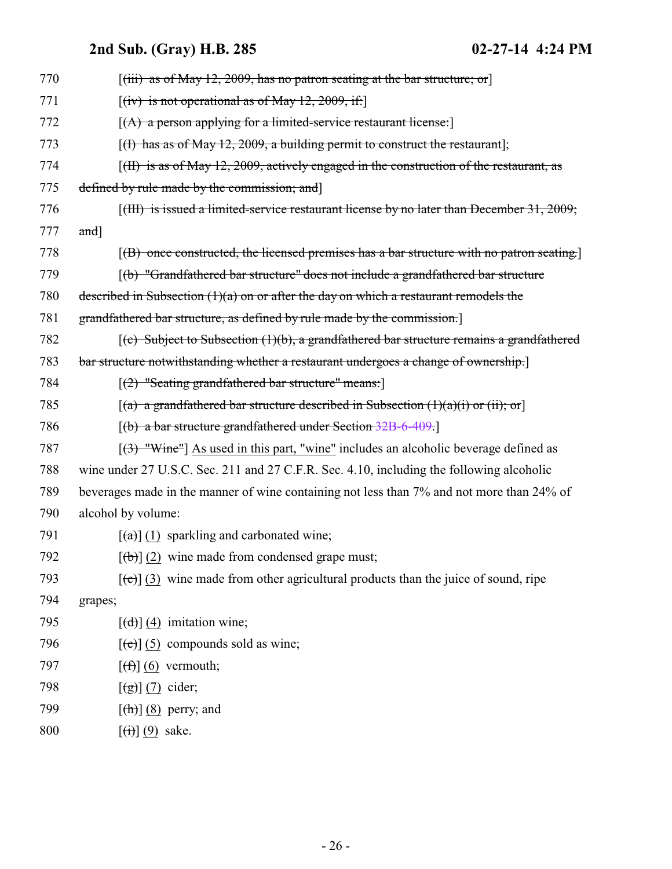| 770 | $[(iii)$ as of May 12, 2009, has no patron seating at the bar structure; or                                   |
|-----|---------------------------------------------------------------------------------------------------------------|
| 771 | $[(iv)$ is not operational as of May 12, 2009, if:                                                            |
| 772 | $[(A)$ a person applying for a limited-service restaurant license:                                            |
| 773 | $[(1)$ has as of May 12, 2009, a building permit to construct the restaurant];                                |
| 774 | [(H) is as of May 12, 2009, actively engaged in the construction of the restaurant, as                        |
| 775 | defined by rule made by the commission; and                                                                   |
| 776 | [(III) is issued a limited-service restaurant license by no later than December 31, 2009;                     |
| 777 | $and$ ]                                                                                                       |
| 778 | $[$ (B) once constructed, the licensed premises has a bar structure with no patron seating.                   |
| 779 | [(b) "Grandfathered bar structure" does not include a grandfathered bar structure                             |
| 780 | described in Subsection $(1)(a)$ on or after the day on which a restaurant remodels the                       |
| 781 | grandfathered bar structure, as defined by rule made by the commission.                                       |
| 782 | $\left[\text{(c)}\right]$ Subject to Subsection (1)(b), a grandfathered bar structure remains a grandfathered |
| 783 | bar structure notwithstanding whether a restaurant undergoes a change of ownership.]                          |
| 784 | $[(2)$ "Seating grandfathered bar structure" means:                                                           |
| 785 | $[(a)$ a grandfathered bar structure described in Subsection $(1)(a)(i)$ or $(ii)$ ; or                       |
| 786 | $[(b)$ a bar structure grandfathered under Section 32B-6-409.                                                 |
| 787 | $[3)$ "Wine"] As used in this part, "wine" includes an alcoholic beverage defined as                          |
| 788 | wine under 27 U.S.C. Sec. 211 and 27 C.F.R. Sec. 4.10, including the following alcoholic                      |
| 789 | beverages made in the manner of wine containing not less than 7% and not more than 24% of                     |
| 790 | alcohol by volume:                                                                                            |
| 791 | $\left[\frac{1}{2}\right]$ (1) sparkling and carbonated wine;                                                 |
| 792 | $[\phi]$ (2) wine made from condensed grape must;                                                             |
| 793 | $[\text{(-c)}]$ (3) wine made from other agricultural products than the juice of sound, ripe                  |
| 794 | grapes;                                                                                                       |
| 795 | $\left[\frac{d}{d}\right]$ (4) imitation wine;                                                                |
| 796 | $[\text{e}(\text{e})]$ (5) compounds sold as wine;                                                            |
| 797 | $[\left(\text{f}\right)](6)$ vermouth;                                                                        |
| 798 | $\left[\left(\frac{1}{g}\right)\right]$ (7) cider;                                                            |
| 799 | $[\text{th}]$ (8) perry; and                                                                                  |
| 800 | $[\left(\mathbf{\dot{t}}\right)](9)$ sake.                                                                    |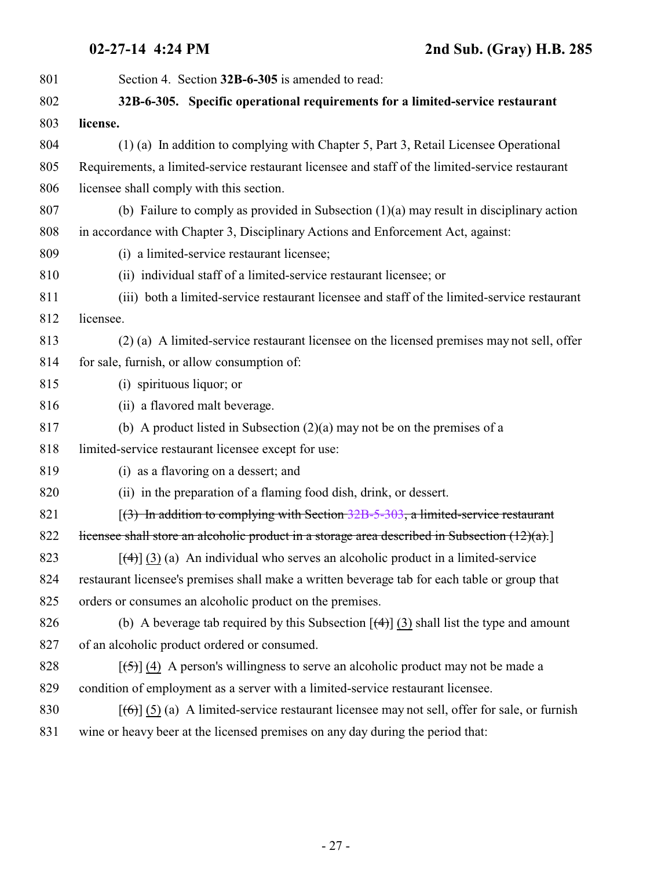<span id="page-26-0"></span>

| 801 | Section 4. Section 32B-6-305 is amended to read:                                                             |
|-----|--------------------------------------------------------------------------------------------------------------|
| 802 | 32B-6-305. Specific operational requirements for a limited-service restaurant                                |
| 803 | license.                                                                                                     |
| 804 | (1) (a) In addition to complying with Chapter 5, Part 3, Retail Licensee Operational                         |
| 805 | Requirements, a limited-service restaurant licensee and staff of the limited-service restaurant              |
| 806 | licensee shall comply with this section.                                                                     |
| 807 | (b) Failure to comply as provided in Subsection $(1)(a)$ may result in disciplinary action                   |
| 808 | in accordance with Chapter 3, Disciplinary Actions and Enforcement Act, against:                             |
| 809 | (i) a limited-service restaurant licensee;                                                                   |
| 810 | (ii) individual staff of a limited-service restaurant licensee; or                                           |
| 811 | (iii) both a limited-service restaurant licensee and staff of the limited-service restaurant                 |
| 812 | licensee.                                                                                                    |
| 813 | (2) (a) A limited-service restaurant licensee on the licensed premises may not sell, offer                   |
| 814 | for sale, furnish, or allow consumption of:                                                                  |
| 815 | (i) spirituous liquor; or                                                                                    |
| 816 | (ii) a flavored malt beverage.                                                                               |
| 817 | (b) A product listed in Subsection $(2)(a)$ may not be on the premises of a                                  |
| 818 | limited-service restaurant licensee except for use:                                                          |
| 819 | (i) as a flavoring on a dessert; and                                                                         |
| 820 | (ii) in the preparation of a flaming food dish, drink, or dessert.                                           |
| 821 | $(3)$ In addition to complying with Section 32B-5-303, a limited-service restaurant                          |
| 822 | Hicensee shall store an alcoholic product in a storage area described in Subsection $(12)(a)$ .              |
| 823 | $[\frac{4}{3}]$ (3) (a) An individual who serves an alcoholic product in a limited-service                   |
| 824 | restaurant licensee's premises shall make a written beverage tab for each table or group that                |
| 825 | orders or consumes an alcoholic product on the premises.                                                     |
| 826 | (b) A beverage tab required by this Subsection $\left[\frac{4}{3}\right]$ (3) shall list the type and amount |
| 827 | of an alcoholic product ordered or consumed.                                                                 |
| 828 | $[\frac{1}{2}, \frac{1}{2}]$ (4) A person's willingness to serve an alcoholic product may not be made a      |
| 829 | condition of employment as a server with a limited-service restaurant licensee.                              |
| 830 | $[\text{f6}](5)$ (a) A limited-service restaurant licensee may not sell, offer for sale, or furnish          |
| 831 | wine or heavy beer at the licensed premises on any day during the period that:                               |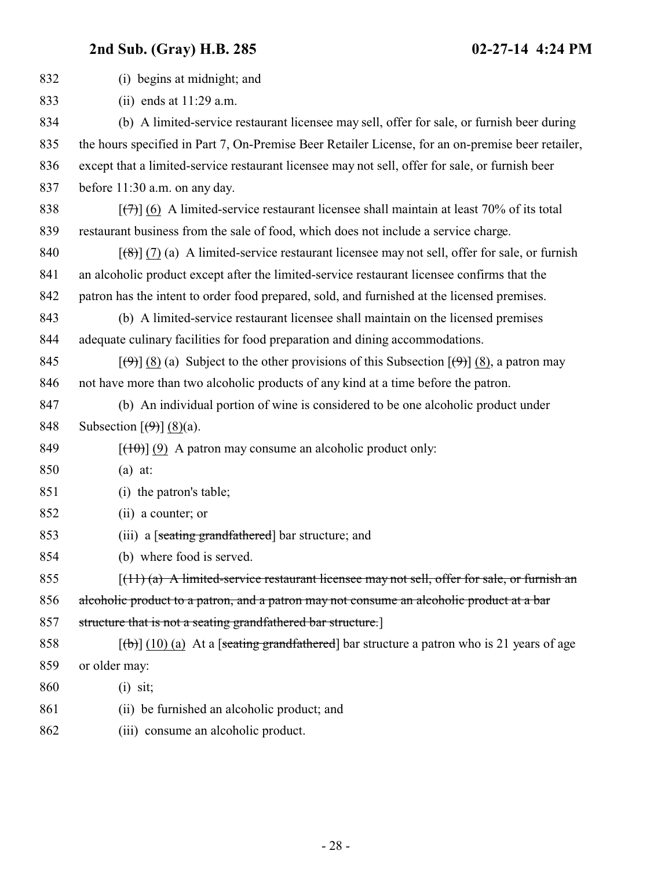| 832 | (i) begins at midnight; and                                                                                                        |
|-----|------------------------------------------------------------------------------------------------------------------------------------|
| 833 | (ii) ends at $11:29$ a.m.                                                                                                          |
| 834 | (b) A limited-service restaurant licensee may sell, offer for sale, or furnish beer during                                         |
| 835 | the hours specified in Part 7, On-Premise Beer Retailer License, for an on-premise beer retailer,                                  |
| 836 | except that a limited-service restaurant licensee may not sell, offer for sale, or furnish beer                                    |
| 837 | before 11:30 a.m. on any day.                                                                                                      |
| 838 | $[\overline{(+)}]$ (6) A limited-service restaurant licensee shall maintain at least 70% of its total                              |
| 839 | restaurant business from the sale of food, which does not include a service charge.                                                |
| 840 | $\left[\frac{1}{2}\left(7\right)(a)\right]$ A limited-service restaurant licensee may not sell, offer for sale, or furnish         |
| 841 | an alcoholic product except after the limited-service restaurant licensee confirms that the                                        |
| 842 | patron has the intent to order food prepared, sold, and furnished at the licensed premises.                                        |
| 843 | (b) A limited-service restaurant licensee shall maintain on the licensed premises                                                  |
| 844 | adequate culinary facilities for food preparation and dining accommodations.                                                       |
| 845 | $[\langle \Theta \rangle]$ (8) (a) Subject to the other provisions of this Subsection $[\langle \Theta \rangle]$ (8), a patron may |
| 846 | not have more than two alcoholic products of any kind at a time before the patron.                                                 |
| 847 | (b) An individual portion of wine is considered to be one alcoholic product under                                                  |
| 848 | Subsection $\left[\left(\frac{9}{9}\right)\right]$ (8)(a).                                                                         |
| 849 | $[\frac{(10)}{(9)}]$ (9) A patron may consume an alcoholic product only:                                                           |
| 850 | $(a)$ at:                                                                                                                          |
| 851 | (i) the patron's table;                                                                                                            |
| 852 | (ii) a counter; or                                                                                                                 |
| 853 | (iii) a [seating grandfathered] bar structure; and                                                                                 |
| 854 | (b) where food is served.                                                                                                          |
| 855 | $(11)$ (a) A limited-service restaurant licensee may not sell, offer for sale, or furnish an                                       |
| 856 | alcoholic product to a patron, and a patron may not consume an alcoholic product at a bar                                          |
| 857 | structure that is not a seating grandfathered bar structure.]                                                                      |
| 858 | $[\phi]$ (10) (a) At a [seating grandfathered] bar structure a patron who is 21 years of age                                       |
| 859 | or older may:                                                                                                                      |
| 860 | $(i)$ sit;                                                                                                                         |
| 861 | (ii) be furnished an alcoholic product; and                                                                                        |
| 862 | (iii) consume an alcoholic product.                                                                                                |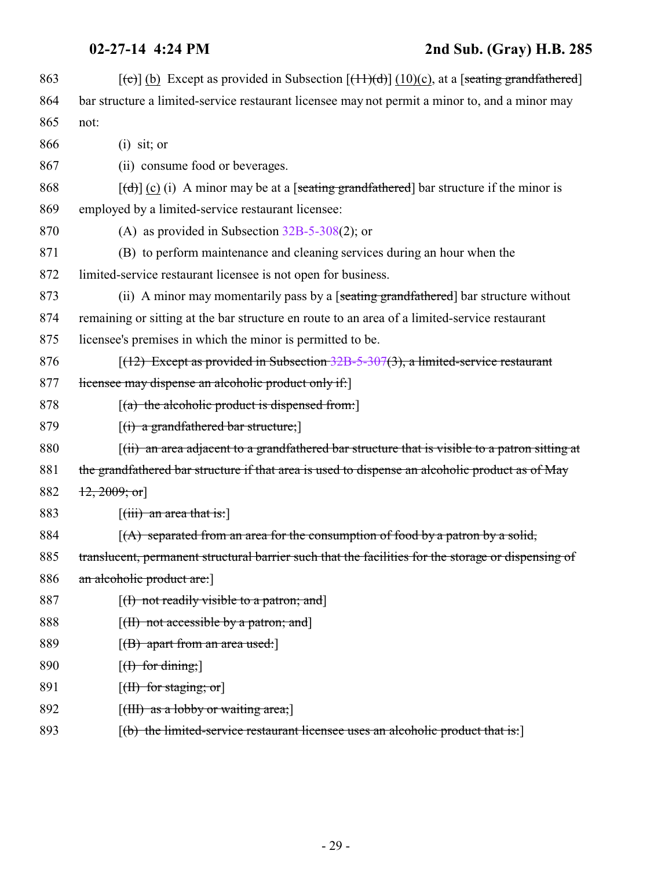| 863 | $[\text{e}]$ (b) Except as provided in Subsection $[\text{f}1\text{)}\text{d}]$ (10)(c), at a [seating grandfathered] |
|-----|-----------------------------------------------------------------------------------------------------------------------|
| 864 | bar structure a limited-service restaurant licensee may not permit a minor to, and a minor may                        |
| 865 | not:                                                                                                                  |
| 866 | $(i)$ sit; or                                                                                                         |
| 867 | (ii) consume food or beverages.                                                                                       |
| 868 | $[\text{d}]}$ (c) (i) A minor may be at a [seating grandfathered] bar structure if the minor is                       |
| 869 | employed by a limited-service restaurant licensee:                                                                    |
| 870 | (A) as provided in Subsection $32B-5-308(2)$ ; or                                                                     |
| 871 | (B) to perform maintenance and cleaning services during an hour when the                                              |
| 872 | limited-service restaurant licensee is not open for business.                                                         |
| 873 | (ii) A minor may momentarily pass by a [seating grandfathered] bar structure without                                  |
| 874 | remaining or sitting at the bar structure en route to an area of a limited-service restaurant                         |
| 875 | licensee's premises in which the minor is permitted to be.                                                            |
| 876 | $(12)$ Except as provided in Subsection 32B-5-307(3), a limited-service restaurant                                    |
| 877 | licensee may dispense an alcoholic product only if:                                                                   |
| 878 | $[(a)$ the alcoholic product is dispensed from:                                                                       |
| 879 | $[(i)$ a grandfathered bar structure;                                                                                 |
| 880 | $(iii)$ an area adjacent to a grandfathered bar structure that is visible to a patron sitting at                      |
| 881 | the grandfathered bar structure if that area is used to dispense an alcoholic product as of May                       |
| 882 | $\{12, 2009; \text{or}\}$                                                                                             |
| 883 | $\left[$ (iii) an area that is:                                                                                       |
| 884 | $(A)$ separated from an area for the consumption of food by a patron by a solid,                                      |
| 885 | translucent, permanent structural barrier such that the facilities for the storage or dispensing of                   |
| 886 | an alcoholic product are:                                                                                             |
| 887 | $[(1)$ not readily visible to a patron; and                                                                           |
| 888 | $[\text{(H) not accessible by a patron; and}]$                                                                        |
| 889 | $[({\rm B})$ apart from an area used:                                                                                 |
| 890 | $[f]$ for dining;                                                                                                     |
| 891 | $[\text{H}\text{)}$ for staging; or                                                                                   |
| 892 | $[\text{(\text{HH}) as a loby or waiting area}]$                                                                      |
| 893 | [(b) the limited-service restaurant licensee uses an alcoholic product that is:]                                      |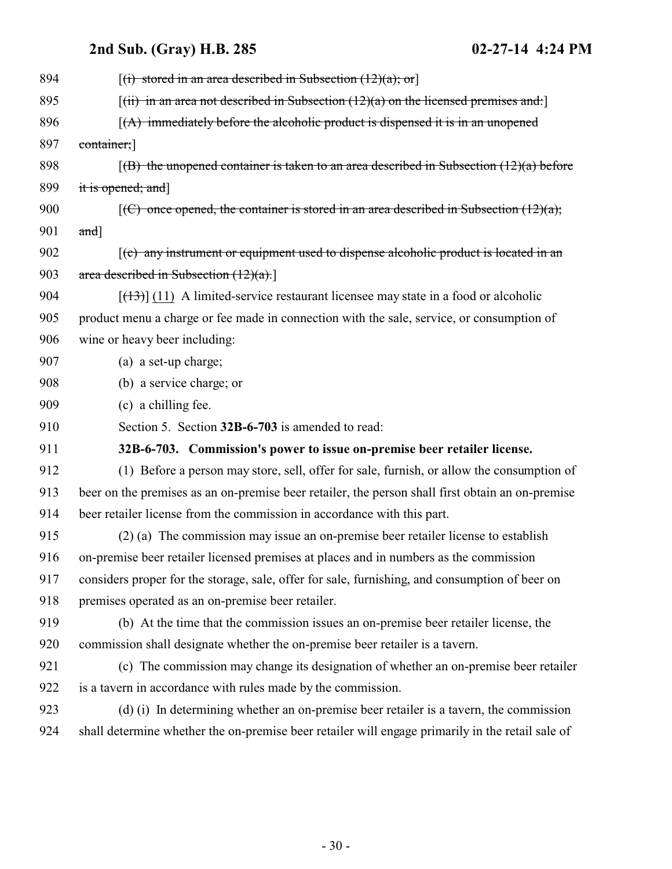<span id="page-29-0"></span>

| 894 | $[(i)$ stored in an area described in Subsection $(12)(a)$ ; or                                  |
|-----|--------------------------------------------------------------------------------------------------|
| 895 | $[(ii)$ in an area not described in Subsection (12)(a) on the licensed premises and:             |
| 896 | $(A)$ immediately before the alcoholic product is dispensed it is in an unopened                 |
| 897 | container;                                                                                       |
| 898 | $(6)$ the unopened container is taken to an area described in Subsection $(12)(a)$ before        |
| 899 | it is opened; and]                                                                               |
| 900 | $[(C)$ once opened, the container is stored in an area described in Subsection $(12)(a)$ ;       |
| 901 | $and$ ]                                                                                          |
| 902 | $(c)$ any instrument or equipment used to dispense alcoholic product is located in an            |
| 903 | area described in Subsection $(12)(a)$ .                                                         |
| 904 | $[$ (13) (11) A limited-service restaurant licensee may state in a food or alcoholic             |
| 905 | product menu a charge or fee made in connection with the sale, service, or consumption of        |
| 906 | wine or heavy beer including:                                                                    |
| 907 | (a) a set-up charge;                                                                             |
| 908 | (b) a service charge; or                                                                         |
| 909 | (c) a chilling fee.                                                                              |
| 910 | Section 5. Section 32B-6-703 is amended to read:                                                 |
| 911 | 32B-6-703. Commission's power to issue on-premise beer retailer license.                         |
| 912 | (1) Before a person may store, sell, offer for sale, furnish, or allow the consumption of        |
| 913 | beer on the premises as an on-premise beer retailer, the person shall first obtain an on-premise |
| 914 | beer retailer license from the commission in accordance with this part.                          |
| 915 | (2) (a) The commission may issue an on-premise beer retailer license to establish                |
| 916 | on-premise beer retailer licensed premises at places and in numbers as the commission            |
| 917 | considers proper for the storage, sale, offer for sale, furnishing, and consumption of beer on   |
| 918 | premises operated as an on-premise beer retailer.                                                |
| 919 | (b) At the time that the commission issues an on-premise beer retailer license, the              |
| 920 | commission shall designate whether the on-premise beer retailer is a tavern.                     |
| 921 | (c) The commission may change its designation of whether an on-premise beer retailer             |
| 922 | is a tavern in accordance with rules made by the commission.                                     |
| 923 | (d) (i) In determining whether an on-premise beer retailer is a tavern, the commission           |
| 924 | shall determine whether the on-premise beer retailer will engage primarily in the retail sale of |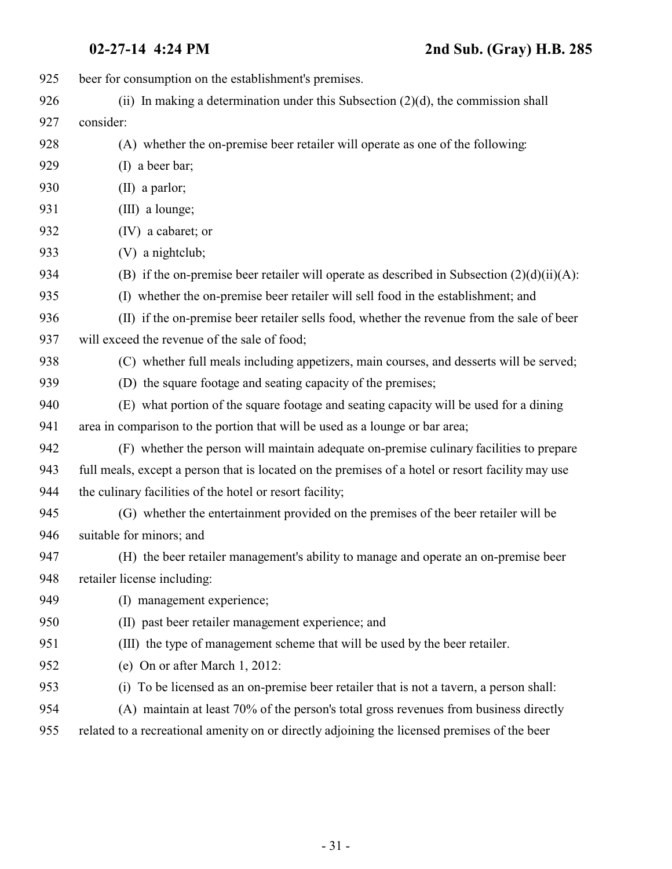| 925 | beer for consumption on the establishment's premises.                                             |
|-----|---------------------------------------------------------------------------------------------------|
| 926 | (ii) In making a determination under this Subsection $(2)(d)$ , the commission shall              |
| 927 | consider:                                                                                         |
| 928 | (A) whether the on-premise beer retailer will operate as one of the following:                    |
| 929 | (I) a beer bar;                                                                                   |
| 930 | $(II)$ a parlor;                                                                                  |
| 931 | (III) a lounge;                                                                                   |
| 932 | (IV) a cabaret; or                                                                                |
| 933 | (V) a nightclub;                                                                                  |
| 934 | (B) if the on-premise beer retailer will operate as described in Subsection $(2)(d)(ii)(A)$ :     |
| 935 | (I) whether the on-premise beer retailer will sell food in the establishment; and                 |
| 936 | (II) if the on-premise beer retailer sells food, whether the revenue from the sale of beer        |
| 937 | will exceed the revenue of the sale of food;                                                      |
| 938 | (C) whether full meals including appetizers, main courses, and desserts will be served;           |
| 939 | (D) the square footage and seating capacity of the premises;                                      |
| 940 | (E) what portion of the square footage and seating capacity will be used for a dining             |
| 941 | area in comparison to the portion that will be used as a lounge or bar area;                      |
| 942 | (F) whether the person will maintain adequate on-premise culinary facilities to prepare           |
| 943 | full meals, except a person that is located on the premises of a hotel or resort facility may use |
| 944 | the culinary facilities of the hotel or resort facility;                                          |
| 945 | (G) whether the entertainment provided on the premises of the beer retailer will be               |
| 946 | suitable for minors; and                                                                          |
| 947 | (H) the beer retailer management's ability to manage and operate an on-premise beer               |
| 948 | retailer license including:                                                                       |
| 949 | (I) management experience;                                                                        |
| 950 | (II) past beer retailer management experience; and                                                |
| 951 | (III) the type of management scheme that will be used by the beer retailer.                       |
| 952 | (e) On or after March 1, 2012:                                                                    |
| 953 | To be licensed as an on-premise beer retailer that is not a tavern, a person shall:<br>(i)        |
| 954 | (A) maintain at least 70% of the person's total gross revenues from business directly             |
| 955 | related to a recreational amenity on or directly adjoining the licensed premises of the beer      |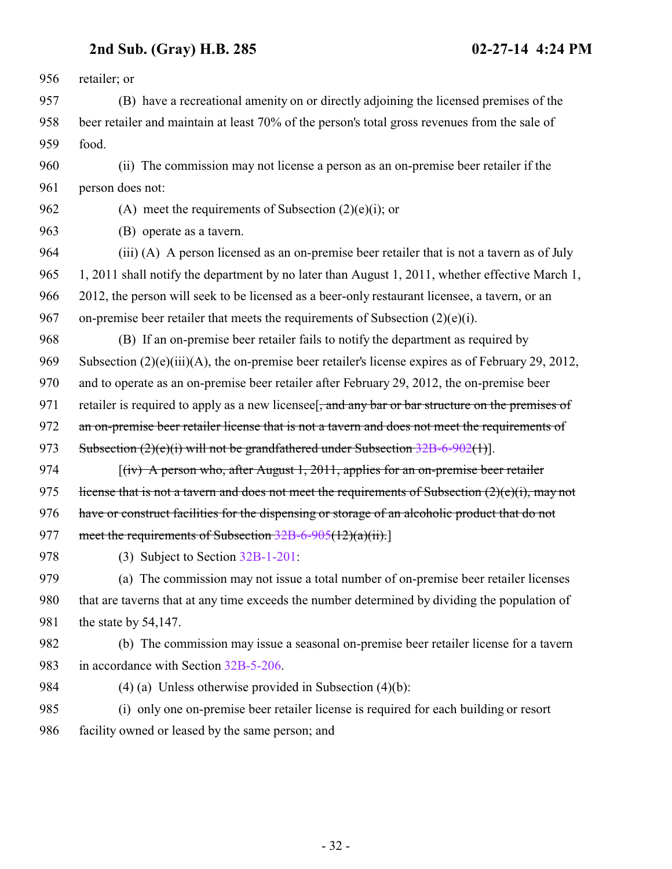retailer; or (B) have a recreational amenity on or directly adjoining the licensed premises of the beer retailer and maintain at least 70% of the person's total gross revenues from the sale of food. (ii) The commission may not license a person as an on-premise beer retailer if the person does not: 962 (A) meet the requirements of Subsection  $(2)(e)(i)$ ; or (B) operate as a tavern. (iii) (A) A person licensed as an on-premise beer retailer that is not a tavern as of July 1, 2011 shall notify the department by no later than August 1, 2011, whether effective March 1, 2012, the person will seek to be licensed as a beer-only restaurant licensee, a tavern, or an on-premise beer retailer that meets the requirements of Subsection (2)(e)(i). (B) If an on-premise beer retailer fails to notify the department as required by Subsection (2)(e)(iii)(A), the on-premise beer retailer's license expires as of February 29, 2012, and to operate as an on-premise beer retailer after February 29, 2012, the on-premise beer 971 retailer is required to apply as a new licensee. and any bar or bar structure on the premises of 972 an on-premise beer retailer license that is not a tavern and does not meet the requirements of 973 Subsection (2)(e)(i) will not be grandfathered under Subsection [32B-6-902](http://le.utah.gov/UtahCode/SectionLookup.jsp?section=32b-6-902&session=2014GS)(1)]. [(iv) A person who, after August 1, 2011, applies for an on-premise beer retailer 975 license that is not a tavern and does not meet the requirements of Subsection  $(2)(e)(i)$ , may not 976 have or construct facilities for the dispensing or storage of an alcoholic product that do not 977 meet the requirements of Subsection [32B-6-905](#page-36-0)(12)(a)(ii).] (3) Subject to Section [32B-1-201](http://le.utah.gov/UtahCode/SectionLookup.jsp?section=32b-1-201&session=2014GS): (a) The commission may not issue a total number of on-premise beer retailer licenses that are taverns that at any time exceeds the number determined by dividing the population of 981 the state by 54,147. (b) The commission may issue a seasonal on-premise beer retailer license for a tavern in accordance with Section [32B-5-206](http://le.utah.gov/UtahCode/SectionLookup.jsp?section=32b-5-206&session=2014GS). (4) (a) Unless otherwise provided in Subsection (4)(b): (i) only one on-premise beer retailer license is required for each building or resort facility owned or leased by the same person; and

- 32 -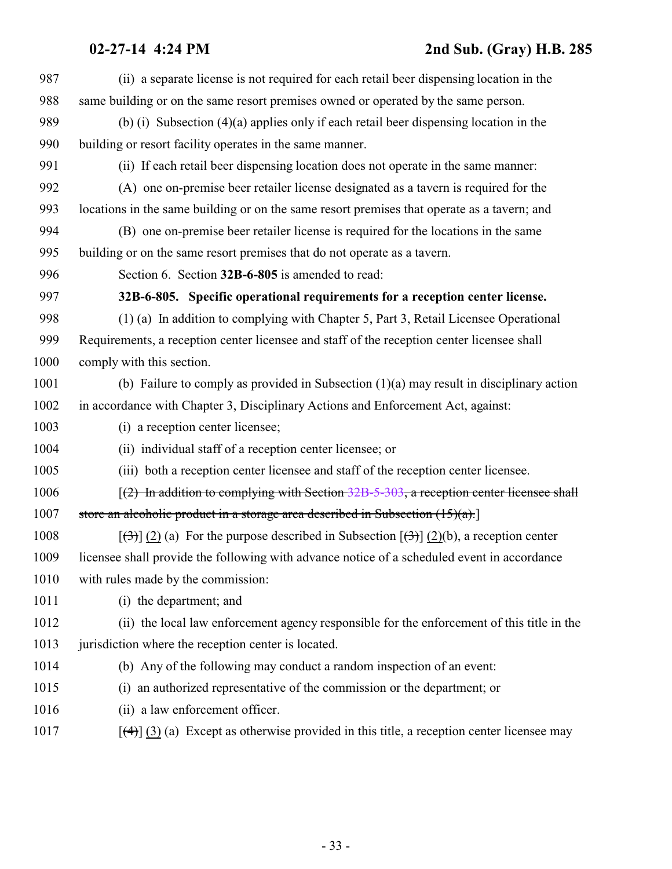<span id="page-32-0"></span>

| 987  | (ii) a separate license is not required for each retail beer dispensing location in the                    |
|------|------------------------------------------------------------------------------------------------------------|
| 988  | same building or on the same resort premises owned or operated by the same person.                         |
| 989  | (b) (i) Subsection $(4)(a)$ applies only if each retail beer dispensing location in the                    |
| 990  | building or resort facility operates in the same manner.                                                   |
| 991  | (ii) If each retail beer dispensing location does not operate in the same manner:                          |
| 992  | (A) one on-premise beer retailer license designated as a tavern is required for the                        |
| 993  | locations in the same building or on the same resort premises that operate as a tavern; and                |
| 994  | (B) one on-premise beer retailer license is required for the locations in the same                         |
| 995  | building or on the same resort premises that do not operate as a tavern.                                   |
| 996  | Section 6. Section 32B-6-805 is amended to read:                                                           |
| 997  | 32B-6-805. Specific operational requirements for a reception center license.                               |
| 998  | (1) (a) In addition to complying with Chapter 5, Part 3, Retail Licensee Operational                       |
| 999  | Requirements, a reception center licensee and staff of the reception center licensee shall                 |
| 1000 | comply with this section.                                                                                  |
| 1001 | (b) Failure to comply as provided in Subsection $(1)(a)$ may result in disciplinary action                 |
| 1002 | in accordance with Chapter 3, Disciplinary Actions and Enforcement Act, against:                           |
| 1003 | (i) a reception center licensee;                                                                           |
| 1004 | (ii) individual staff of a reception center licensee; or                                                   |
| 1005 | (iii) both a reception center licensee and staff of the reception center licensee.                         |
| 1006 | $(2)$ In addition to complying with Section 32B-5-303, a reception center licensee shall                   |
| 1007 | store an alcoholic product in a storage area described in Subsection $(15)(a)$ .                           |
| 1008 | $[\frac{1}{2}]$ (2) (a) For the purpose described in Subsection $[\frac{1}{2}]$ (2)(b), a reception center |
| 1009 | licensee shall provide the following with advance notice of a scheduled event in accordance                |
| 1010 | with rules made by the commission:                                                                         |
| 1011 | (i) the department; and                                                                                    |
| 1012 | (ii) the local law enforcement agency responsible for the enforcement of this title in the                 |
| 1013 | jurisdiction where the reception center is located.                                                        |
| 1014 | (b) Any of the following may conduct a random inspection of an event:                                      |
| 1015 | an authorized representative of the commission or the department; or<br>(i)                                |
| 1016 | (ii) a law enforcement officer.                                                                            |
| 1017 | $[\frac{4}{3}]$ (3) (a) Except as otherwise provided in this title, a reception center licensee may        |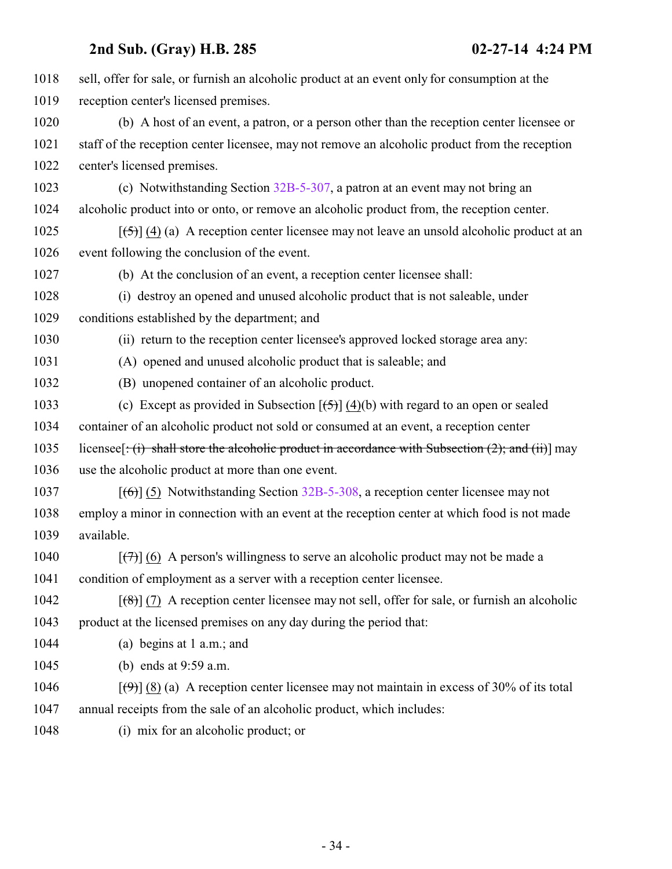| 1018 | sell, offer for sale, or furnish an alcoholic product at an event only for consumption at the                             |
|------|---------------------------------------------------------------------------------------------------------------------------|
| 1019 | reception center's licensed premises.                                                                                     |
| 1020 | (b) A host of an event, a patron, or a person other than the reception center licensee or                                 |
| 1021 | staff of the reception center licensee, may not remove an alcoholic product from the reception                            |
| 1022 | center's licensed premises.                                                                                               |
| 1023 | (c) Notwithstanding Section 32B-5-307, a patron at an event may not bring an                                              |
| 1024 | alcoholic product into or onto, or remove an alcoholic product from, the reception center.                                |
| 1025 | $[5]$ (4) (a) A reception center licensee may not leave an unsold alcoholic product at an                                 |
| 1026 | event following the conclusion of the event.                                                                              |
| 1027 | (b) At the conclusion of an event, a reception center licensee shall:                                                     |
| 1028 | (i) destroy an opened and unused alcoholic product that is not saleable, under                                            |
| 1029 | conditions established by the department; and                                                                             |
| 1030 | (ii) return to the reception center licensee's approved locked storage area any:                                          |
| 1031 | (A) opened and unused alcoholic product that is saleable; and                                                             |
| 1032 | (B) unopened container of an alcoholic product.                                                                           |
| 1033 | (c) Except as provided in Subsection $[\frac{5}{2}]$ (4)(b) with regard to an open or sealed                              |
| 1034 | container of an alcoholic product not sold or consumed at an event, a reception center                                    |
| 1035 | licensee $[\cdot(\mathbf{i})$ shall store the alcoholic product in accordance with Subsection (2); and (ii) may           |
| 1036 | use the alcoholic product at more than one event.                                                                         |
| 1037 | $[66]$ (5) Notwithstanding Section 32B-5-308, a reception center licensee may not                                         |
| 1038 | employ a minor in connection with an event at the reception center at which food is not made                              |
| 1039 | available.                                                                                                                |
| 1040 | $[\overline{(+)}]$ (6) A person's willingness to serve an alcoholic product may not be made a                             |
| 1041 | condition of employment as a server with a reception center licensee.                                                     |
| 1042 | $[$ (8)] (7) A reception center licensee may not sell, offer for sale, or furnish an alcoholic                            |
| 1043 | product at the licensed premises on any day during the period that:                                                       |
| 1044 | (a) begins at $1$ a.m.; and                                                                                               |
| 1045 | (b) ends at $9:59$ a.m.                                                                                                   |
| 1046 | $[\left(\frac{\Theta}{\Theta}\right)]$ (8) (a) A reception center licensee may not maintain in excess of 30% of its total |
| 1047 | annual receipts from the sale of an alcoholic product, which includes:                                                    |
| 1048 | (i) mix for an alcoholic product; or                                                                                      |
|      |                                                                                                                           |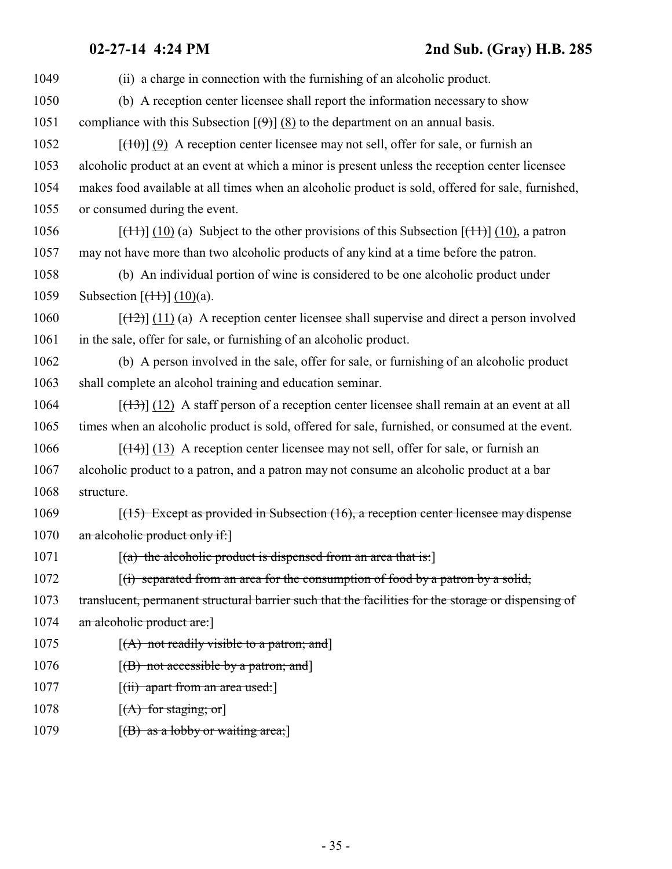| 1049 | (ii) a charge in connection with the furnishing of an alcoholic product.                                               |
|------|------------------------------------------------------------------------------------------------------------------------|
| 1050 | (b) A reception center licensee shall report the information necessary to show                                         |
| 1051 | compliance with this Subsection $[\Theta]$ (8) to the department on an annual basis.                                   |
| 1052 | $[\frac{100}{10}]$ (9) A reception center licensee may not sell, offer for sale, or furnish an                         |
| 1053 | alcoholic product at an event at which a minor is present unless the reception center licensee                         |
| 1054 | makes food available at all times when an alcoholic product is sold, offered for sale, furnished,                      |
| 1055 | or consumed during the event.                                                                                          |
| 1056 | $[\frac{(11)}{(10)}]$ (10) (a) Subject to the other provisions of this Subsection $[\frac{(11)}{(10)}]$ (10), a patron |
| 1057 | may not have more than two alcoholic products of any kind at a time before the patron.                                 |
| 1058 | (b) An individual portion of wine is considered to be one alcoholic product under                                      |
| 1059 | Subsection $[\frac{(1+1)}{(10)}]$ (10)(a).                                                                             |
| 1060 | $[ (12) ] (11)$ (a) A reception center licensee shall supervise and direct a person involved                           |
| 1061 | in the sale, offer for sale, or furnishing of an alcoholic product.                                                    |
| 1062 | (b) A person involved in the sale, offer for sale, or furnishing of an alcoholic product                               |
| 1063 | shall complete an alcohol training and education seminar.                                                              |
| 1064 | $[ (13) ]$ (12) A staff person of a reception center licensee shall remain at an event at all                          |
| 1065 | times when an alcoholic product is sold, offered for sale, furnished, or consumed at the event.                        |
| 1066 | $[$ (14+)] (13) A reception center licensee may not sell, offer for sale, or furnish an                                |
| 1067 | alcoholic product to a patron, and a patron may not consume an alcoholic product at a bar                              |
| 1068 | structure.                                                                                                             |
| 1069 | $[ (15)$ Except as provided in Subsection $(16)$ , a reception center licensee may dispense                            |
| 1070 | an alcoholic product only if:                                                                                          |
| 1071 | $(a)$ the alcoholic product is dispensed from an area that is:                                                         |
| 1072 | $\left[\right(\mathbf{r})$ separated from an area for the consumption of food by a patron by a solid,                  |
| 1073 | translucent, permanent structural barrier such that the facilities for the storage or dispensing of                    |
| 1074 | an alcoholic product are:                                                                                              |
| 1075 | $[(A)$ not readily visible to a patron; and                                                                            |
| 1076 | $[(B)$ not accessible by a patron; and                                                                                 |
| 1077 | [ <del>(ii) apart from an area used:</del> ]                                                                           |
| 1078 | $[(A)$ for staging; or                                                                                                 |
| 1079 | $[(B)$ as a lobby or waiting area;                                                                                     |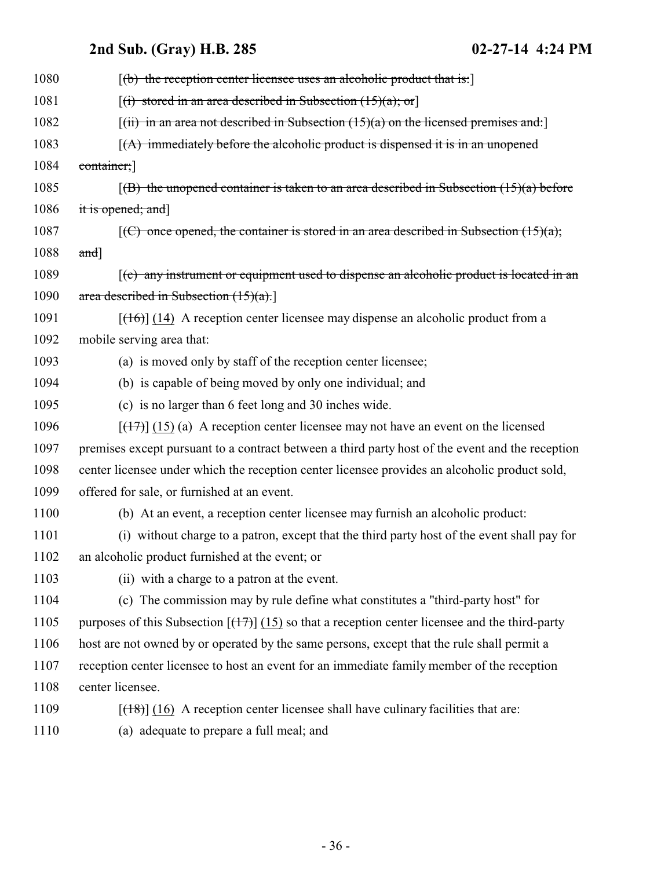| 1080 | $[(b)$ the reception center licensee uses an alcoholic product that is:                                                   |
|------|---------------------------------------------------------------------------------------------------------------------------|
| 1081 | $[(i)$ stored in an area described in Subsection $(15)(a)$ ; or]                                                          |
| 1082 | $[(iii)$ in an area not described in Subsection $(15)(a)$ on the licensed premises and:                                   |
| 1083 | $(A)$ immediately before the alcoholic product is dispensed it is in an unopened                                          |
| 1084 | container;]                                                                                                               |
| 1085 | $(6)$ the unopened container is taken to an area described in Subsection $(15)(a)$ before                                 |
| 1086 | it is opened; and]                                                                                                        |
| 1087 | $[(C)$ once opened, the container is stored in an area described in Subsection $(15)(a)$ ;                                |
| 1088 | and]                                                                                                                      |
| 1089 | $(c)$ any instrument or equipment used to dispense an alcoholic product is located in an                                  |
| 1090 | area described in Subsection $(15)(a)$ .                                                                                  |
| 1091 | $[ (16) ]$ (14) A reception center licensee may dispense an alcoholic product from a                                      |
| 1092 | mobile serving area that:                                                                                                 |
| 1093 | (a) is moved only by staff of the reception center licensee;                                                              |
| 1094 | (b) is capable of being moved by only one individual; and                                                                 |
| 1095 | (c) is no larger than 6 feet long and 30 inches wide.                                                                     |
| 1096 | $[ (17) ]$ (15) (a) A reception center licensee may not have an event on the licensed                                     |
| 1097 | premises except pursuant to a contract between a third party host of the event and the reception                          |
| 1098 | center licensee under which the reception center licensee provides an alcoholic product sold,                             |
| 1099 | offered for sale, or furnished at an event.                                                                               |
| 1100 | (b) At an event, a reception center licensee may furnish an alcoholic product:                                            |
| 1101 | (i) without charge to a patron, except that the third party host of the event shall pay for                               |
| 1102 | an alcoholic product furnished at the event; or                                                                           |
| 1103 | (ii) with a charge to a patron at the event.                                                                              |
| 1104 | (c) The commission may by rule define what constitutes a "third-party host" for                                           |
| 1105 | purposes of this Subsection $\left[\frac{(17)}{(15)}\right]$ (15) so that a reception center licensee and the third-party |
| 1106 | host are not owned by or operated by the same persons, except that the rule shall permit a                                |
| 1107 | reception center licensee to host an event for an immediate family member of the reception                                |
| 1108 | center licensee.                                                                                                          |
| 1109 | $[$ (18)] $(16)$ A reception center licensee shall have culinary facilities that are:                                     |
| 1110 | (a) adequate to prepare a full meal; and                                                                                  |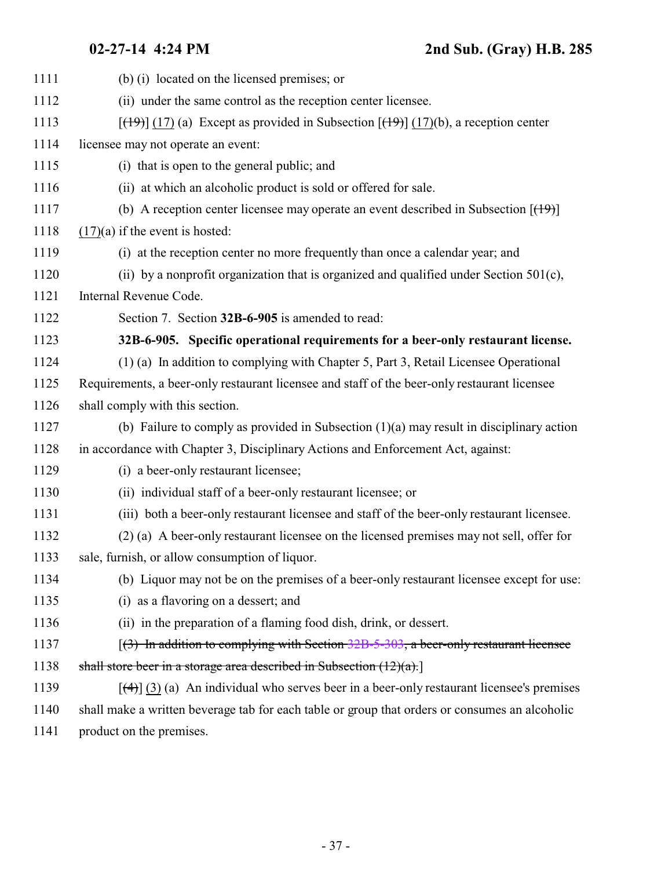<span id="page-36-0"></span>

| 1111 | (b) (i) located on the licensed premises; or                                                                           |
|------|------------------------------------------------------------------------------------------------------------------------|
| 1112 | (ii) under the same control as the reception center licensee.                                                          |
| 1113 | $[\frac{(19)}{(17)}]$ (17) (a) Except as provided in Subsection $[\frac{(19)}{(17)}]$ (17)(b), a reception center      |
| 1114 | licensee may not operate an event:                                                                                     |
| 1115 | (i) that is open to the general public; and                                                                            |
| 1116 | (ii) at which an alcoholic product is sold or offered for sale.                                                        |
| 1117 | (b) A reception center licensee may operate an event described in Subsection $[$ ( $\uparrow$ $\uparrow$ $\uparrow$ )] |
| 1118 | $(17)(a)$ if the event is hosted:                                                                                      |
| 1119 | (i) at the reception center no more frequently than once a calendar year; and                                          |
| 1120 | (ii) by a nonprofit organization that is organized and qualified under Section $501(c)$ ,                              |
| 1121 | Internal Revenue Code.                                                                                                 |
| 1122 | Section 7. Section 32B-6-905 is amended to read:                                                                       |
| 1123 | 32B-6-905. Specific operational requirements for a beer-only restaurant license.                                       |
| 1124 | (1) (a) In addition to complying with Chapter 5, Part 3, Retail Licensee Operational                                   |
| 1125 | Requirements, a beer-only restaurant licensee and staff of the beer-only restaurant licensee                           |
| 1126 | shall comply with this section.                                                                                        |
| 1127 | (b) Failure to comply as provided in Subsection $(1)(a)$ may result in disciplinary action                             |
| 1128 | in accordance with Chapter 3, Disciplinary Actions and Enforcement Act, against:                                       |
| 1129 | (i) a beer-only restaurant licensee;                                                                                   |
| 1130 | (ii) individual staff of a beer-only restaurant licensee; or                                                           |
| 1131 | (iii) both a beer-only restaurant licensee and staff of the beer-only restaurant licensee.                             |
| 1132 | (2) (a) A beer-only restaurant licensee on the licensed premises may not sell, offer for                               |
| 1133 | sale, furnish, or allow consumption of liquor.                                                                         |
| 1134 | (b) Liquor may not be on the premises of a beer-only restaurant licensee except for use:                               |
| 1135 | (i) as a flavoring on a dessert; and                                                                                   |
| 1136 | (ii) in the preparation of a flaming food dish, drink, or dessert.                                                     |
| 1137 | $(3)$ In addition to complying with Section 32B-5-303, a beer-only restaurant licensee                                 |
| 1138 | shall store beer in a storage area described in Subsection $(12)(a)$ .                                                 |
| 1139 | $[\frac{4}{3}]$ (3) (a) An individual who serves beer in a beer-only restaurant licensee's premises                    |
| 1140 | shall make a written beverage tab for each table or group that orders or consumes an alcoholic                         |
|      |                                                                                                                        |

1141 product on the premises.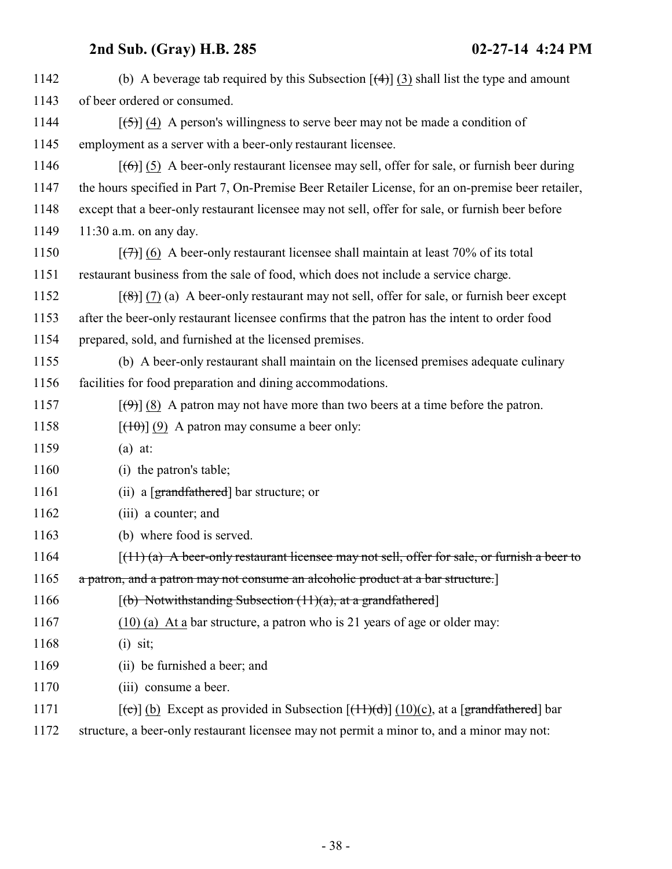| 1142 | (b) A beverage tab required by this Subsection $\left[\frac{4}{3}\right]$ (3) shall list the type and amount     |
|------|------------------------------------------------------------------------------------------------------------------|
| 1143 | of beer ordered or consumed.                                                                                     |
| 1144 | $[\frac{1}{2}, \frac{1}{2}]$ (4) A person's willingness to serve beer may not be made a condition of             |
| 1145 | employment as a server with a beer-only restaurant licensee.                                                     |
| 1146 | $[\left(6\right)]$ (5) A beer-only restaurant licensee may sell, offer for sale, or furnish beer during          |
| 1147 | the hours specified in Part 7, On-Premise Beer Retailer License, for an on-premise beer retailer,                |
| 1148 | except that a beer-only restaurant licensee may not sell, offer for sale, or furnish beer before                 |
| 1149 | $11:30$ a.m. on any day.                                                                                         |
| 1150 | $[\overline{(+)}]$ (6) A beer-only restaurant licensee shall maintain at least 70% of its total                  |
| 1151 | restaurant business from the sale of food, which does not include a service charge.                              |
| 1152 | $[\frac{1}{2}, \frac{1}{2}]$ (7) (a) A beer-only restaurant may not sell, offer for sale, or furnish beer except |
| 1153 | after the beer-only restaurant licensee confirms that the patron has the intent to order food                    |
| 1154 | prepared, sold, and furnished at the licensed premises.                                                          |
| 1155 | (b) A beer-only restaurant shall maintain on the licensed premises adequate culinary                             |
| 1156 | facilities for food preparation and dining accommodations.                                                       |
| 1157 | $[\langle 9 \rangle]$ (8) A patron may not have more than two beers at a time before the patron.                 |
| 1158 | $[$ (40)] (9) A patron may consume a beer only:                                                                  |
| 1159 | $(a)$ at:                                                                                                        |
| 1160 | (i) the patron's table;                                                                                          |
| 1161 | (ii) a $[grandfathered]$ bar structure; or                                                                       |
| 1162 | (iii) a counter; and                                                                                             |
| 1163 | (b) where food is served.                                                                                        |
| 1164 | $(11)$ (a) A beer-only restaurant licensee may not sell, offer for sale, or furnish a beer to                    |
| 1165 | a patron, and a patron may not consume an alcoholic product at a bar structure.                                  |
| 1166 | $[(b)$ Notwithstanding Subsection $(11)(a)$ , at a grandfathered                                                 |
| 1167 | $(10)$ (a) At a bar structure, a patron who is 21 years of age or older may:                                     |
| 1168 | $(i)$ sit;                                                                                                       |
| 1169 | (ii) be furnished a beer; and                                                                                    |
| 1170 | (iii) consume a beer.                                                                                            |
| 1171 | $[\text{(-c)}]$ (b) Except as provided in Subsection $[\text{(+1)}]$ (10)(c), at a [grandfathered] bar           |
|      |                                                                                                                  |

1172 structure, a beer-only restaurant licensee may not permit a minor to, and a minor may not: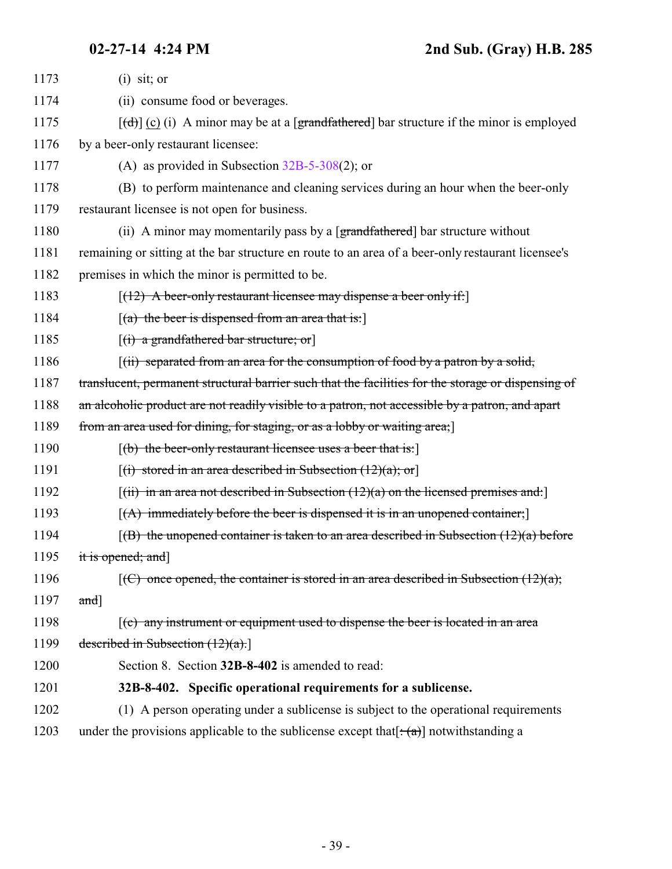<span id="page-38-0"></span>

| 1173 | $(i)$ sit; or                                                                                                                |
|------|------------------------------------------------------------------------------------------------------------------------------|
| 1174 | (ii) consume food or beverages.                                                                                              |
| 1175 | $[\text{(\text{d})}]$ (c) (i) A minor may be at a [grandfathered] bar structure if the minor is employed                     |
| 1176 | by a beer-only restaurant licensee:                                                                                          |
| 1177 | (A) as provided in Subsection $32B-5-308(2)$ ; or                                                                            |
| 1178 | (B) to perform maintenance and cleaning services during an hour when the beer-only                                           |
| 1179 | restaurant licensee is not open for business.                                                                                |
| 1180 | (ii) A minor may momentarily pass by a $\left[\frac{\text{grandfathered}}{\text{at} \text{et}}\right]$ bar structure without |
| 1181 | remaining or sitting at the bar structure en route to an area of a beer-only restaurant licensee's                           |
| 1182 | premises in which the minor is permitted to be.                                                                              |
| 1183 | $[ (12)$ A beer-only restaurant licensee may dispense a beer only if.                                                        |
| 1184 | $[(a)$ the beer is dispensed from an area that is:                                                                           |
| 1185 | $[(i)$ a grandfathered bar structure; or                                                                                     |
| 1186 | $\left[\right(\text{ii})$ separated from an area for the consumption of food by a patron by a solid,                         |
| 1187 | translucent, permanent structural barrier such that the facilities for the storage or dispensing of                          |
| 1188 | an alcoholic product are not readily visible to a patron, not accessible by a patron, and apart                              |
| 1189 | from an area used for dining, for staging, or as a lobby or waiting area;                                                    |
| 1190 | $[(b)$ the beer-only restaurant licensee uses a beer that is:                                                                |
| 1191 | $[(i)$ stored in an area described in Subsection $(12)(a)$ ; or                                                              |
| 1192 | $[(ii)$ in an area not described in Subsection $(12)(a)$ on the licensed premises and:                                       |
| 1193 | $[(A)$ immediately before the beer is dispensed it is in an unopened container;                                              |
| 1194 | $(6)$ the unopened container is taken to an area described in Subsection $(12)(a)$ before                                    |
| 1195 | it is opened; and]                                                                                                           |
| 1196 | $\left[\left(\frac{C}{C}\right) \right]$ once opened, the container is stored in an area described in Subsection (12)(a);    |
| 1197 | and]                                                                                                                         |
| 1198 | $\left[\text{(c)}\right]$ any instrument or equipment used to dispense the beer is located in an area                        |
| 1199 | described in Subsection $(12)(a)$ .                                                                                          |
| 1200 | Section 8. Section 32B-8-402 is amended to read:                                                                             |
| 1201 | 32B-8-402. Specific operational requirements for a sublicense.                                                               |
| 1202 | (1) A person operating under a sublicense is subject to the operational requirements                                         |
| 1203 | under the provisions applicable to the sublicense except that $[\cdot(\alpha)]$ notwithstanding a                            |